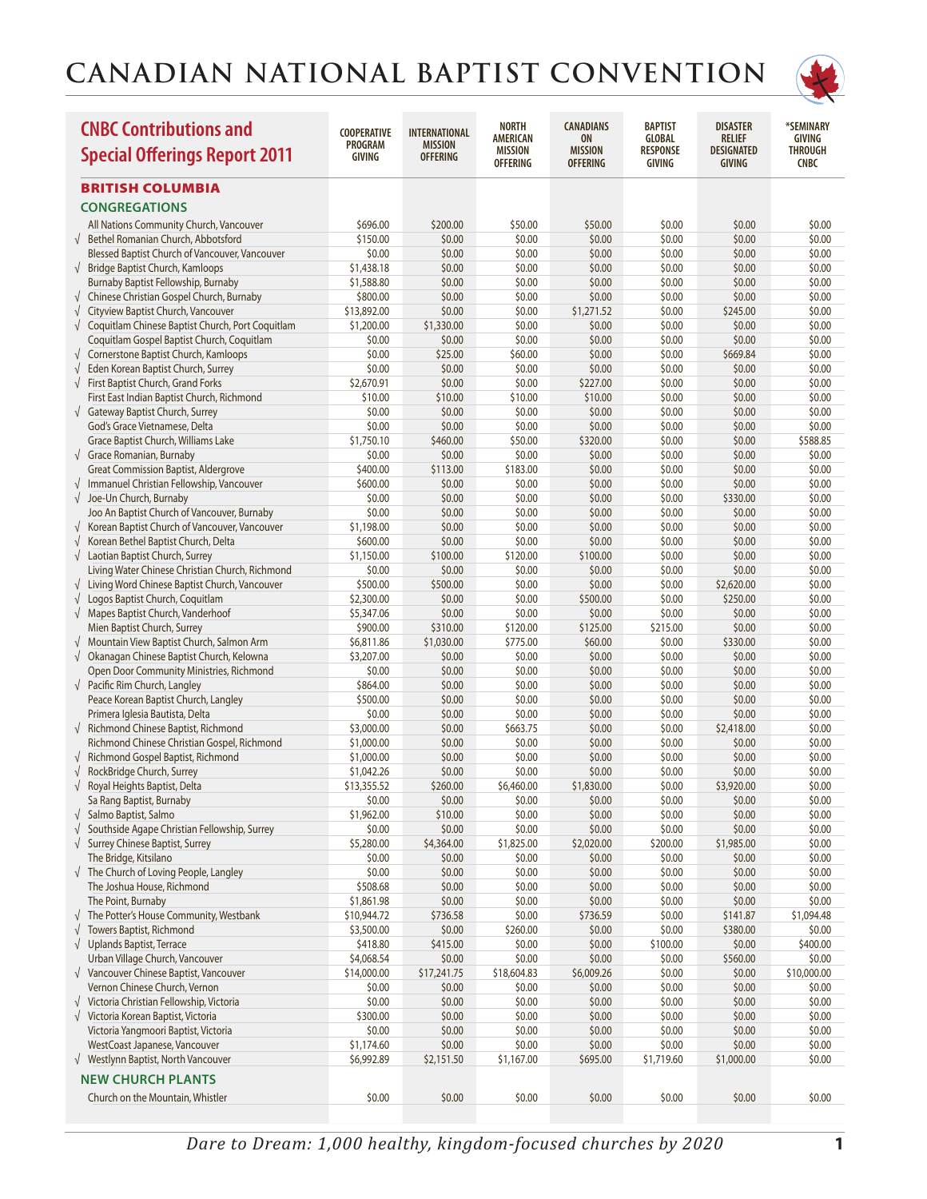

| <b>BRITISH COLUMBIA</b><br><b>CONGREGATIONS</b><br>All Nations Community Church, Vancouver<br>\$696.00<br>\$200.00<br>\$50.00<br>\$50.00<br>\$0.00<br>\$0.00<br>\$0.00<br>√ Bethel Romanian Church, Abbotsford<br>\$150.00<br>\$0.00<br>\$0.00<br>\$0.00<br>\$0.00<br>\$0.00<br>\$0.00<br>Blessed Baptist Church of Vancouver, Vancouver<br>\$0.00<br>\$0.00<br>\$0.00<br>\$0.00<br>\$0.00<br>\$0.00<br>\$0.00<br>\$1,438.18<br>$\sqrt{\phantom{a}}$ Bridge Baptist Church, Kamloops<br>\$0.00<br>\$0.00<br>\$0.00<br>\$0.00<br>\$0.00<br>\$0.00<br>\$0.00<br>\$0.00<br>Burnaby Baptist Fellowship, Burnaby<br>\$1,588.80<br>\$0.00<br>\$0.00<br>\$0.00<br>\$0.00<br>Chinese Christian Gospel Church, Burnaby<br>\$800.00<br>\$0.00<br>\$0.00<br>\$0.00<br>\$0.00<br>\$0.00<br>\$0.00<br>Cityview Baptist Church, Vancouver<br>\$13,892.00<br>\$0.00<br>\$0.00<br>\$1,271.52<br>\$0.00<br>\$245.00<br>\$0.00<br>$\sqrt{ }$<br>$\sqrt{}$<br>Coquitlam Chinese Baptist Church, Port Coquitlam<br>\$1,200.00<br>\$1,330.00<br>\$0.00<br>\$0.00<br>\$0.00<br>\$0.00<br>\$0.00<br>\$0.00<br>Coquitlam Gospel Baptist Church, Coquitlam<br>\$0.00<br>\$0.00<br>\$0.00<br>\$0.00<br>\$0.00<br>\$0.00<br>\$0.00<br>Cornerstone Baptist Church, Kamloops<br>\$25.00<br>\$60.00<br>\$0.00<br>\$0.00<br>\$669.84<br>\$0.00<br>$\sqrt{}$<br>\$0.00<br>Eden Korean Baptist Church, Surrey<br>\$0.00<br>\$0.00<br>\$0.00<br>\$0.00<br>\$0.00<br>\$0.00<br>$\sqrt{}$<br>First Baptist Church, Grand Forks<br>\$2,670.91<br>\$0.00<br>\$0.00<br>\$227.00<br>\$0.00<br>\$0.00<br>\$0.00<br>$\sqrt{}$<br>\$0.00<br>First East Indian Baptist Church, Richmond<br>\$10.00<br>\$10.00<br>\$10.00<br>\$10.00<br>\$0.00<br>\$0.00<br>\$0.00<br>√ Gateway Baptist Church, Surrey<br>\$0.00<br>\$0.00<br>\$0.00<br>\$0.00<br>\$0.00<br>\$0.00<br>God's Grace Vietnamese, Delta<br>\$0.00<br>\$0.00<br>\$0.00<br>\$0.00<br>\$0.00<br>\$0.00<br>\$0.00<br>\$1,750.10<br>\$460.00<br>\$0.00<br>Grace Baptist Church, Williams Lake<br>\$50.00<br>\$320.00<br>\$0.00<br>\$588.85<br>\$0.00<br>$\sqrt{\phantom{a}}$ Grace Romanian, Burnaby<br>\$0.00<br>\$0.00<br>\$0.00<br>\$0.00<br>\$0.00<br>\$0.00<br><b>Great Commission Baptist, Aldergrove</b><br>\$400.00<br>\$113.00<br>\$183.00<br>\$0.00<br>\$0.00<br>\$0.00<br>\$0.00<br>$\sqrt{ }$ Immanuel Christian Fellowship, Vancouver<br>\$0.00<br>\$600.00<br>\$0.00<br>\$0.00<br>\$0.00<br>\$0.00<br>\$0.00<br>Joe-Un Church, Burnaby<br>\$0.00<br>\$0.00<br>$\sqrt{ }$<br>\$0.00<br>\$0.00<br>\$0.00<br>\$330.00<br>\$0.00<br>Joo An Baptist Church of Vancouver, Burnaby<br>\$0.00<br>\$0.00<br>\$0.00<br>\$0.00<br>\$0.00<br>\$0.00<br>\$0.00<br>Korean Baptist Church of Vancouver, Vancouver<br>\$0.00<br>\$1,198.00<br>\$0.00<br>\$0.00<br>\$0.00<br>\$0.00<br>\$0.00<br>Korean Bethel Baptist Church, Delta<br>\$600.00<br>\$0.00<br>\$0.00<br>\$0.00<br>\$0.00<br>\$0.00<br>\$0.00<br>$\sqrt{}$<br>Laotian Baptist Church, Surrey<br>\$1,150.00<br>\$100.00<br>\$120.00<br>\$100.00<br>\$0.00<br>\$0.00<br>\$0.00<br>$\sqrt{ }$<br>Living Water Chinese Christian Church, Richmond<br>\$0.00<br>\$0.00<br>\$0.00<br>\$0.00<br>\$0.00<br>\$0.00<br>\$0.00<br>Living Word Chinese Baptist Church, Vancouver<br>\$500.00<br>\$500.00<br>\$0.00<br>\$0.00<br>\$0.00<br>\$2,620.00<br>\$0.00<br>$\sqrt{}$<br>Logos Baptist Church, Coquitlam<br>\$2,300.00<br>\$0.00<br>\$0.00<br>\$500.00<br>\$0.00<br>\$250.00<br>\$0.00<br>$\sqrt{ }$<br>√ Mapes Baptist Church, Vanderhoof<br>\$5,347.06<br>\$0.00<br>\$0.00<br>\$0.00<br>\$0.00<br>\$0.00<br>\$0.00<br>Mien Baptist Church, Surrey<br>\$900.00<br>\$310.00<br>\$120.00<br>\$125.00<br>\$215.00<br>\$0.00<br>\$0.00<br>√ Mountain View Baptist Church, Salmon Arm<br>\$6,811.86<br>\$1,030.00<br>\$775.00<br>\$60.00<br>\$0.00<br>\$330.00<br>\$0.00<br>√ Okanagan Chinese Baptist Church, Kelowna<br>\$3,207.00<br>\$0.00<br>\$0.00<br>\$0.00<br>\$0.00<br>\$0.00<br>\$0.00<br>\$0.00<br>Open Door Community Ministries, Richmond<br>\$0.00<br>\$0.00<br>\$0.00<br>\$0.00<br>\$0.00<br>\$0.00<br>$\sqrt{ }$ Pacific Rim Church, Langley<br>\$864.00<br>\$0.00<br>\$0.00<br>\$0.00<br>\$0.00<br>\$0.00<br>\$0.00<br>Peace Korean Baptist Church, Langley<br>\$0.00<br>\$500.00<br>\$0.00<br>\$0.00<br>\$0.00<br>\$0.00<br>\$0.00<br>Primera Iglesia Bautista, Delta<br>\$0.00<br>\$0.00<br>\$0.00<br>\$0.00<br>\$0.00<br>\$0.00<br>\$0.00<br>√ Richmond Chinese Baptist, Richmond<br>\$3,000.00<br>\$0.00<br>\$663.75<br>\$0.00<br>\$0.00<br>\$2,418.00<br>\$0.00<br>Richmond Chinese Christian Gospel, Richmond<br>\$1,000.00<br>\$0.00<br>\$0.00<br>\$0.00<br>\$0.00<br>\$0.00<br>\$0.00<br>√ Richmond Gospel Baptist, Richmond<br>\$1,000.00<br>\$0.00<br>\$0.00<br>\$0.00<br>\$0.00<br>\$0.00<br>\$0.00<br>RockBridge Church, Surrey<br>\$0.00<br>\$1,042.26<br>\$0.00<br>\$0.00<br>\$0.00<br>\$0.00<br>\$0.00<br>\$13,355.52<br>√ Royal Heights Baptist, Delta<br>\$260.00<br>\$6,460.00<br>\$1,830.00<br>\$0.00<br>\$3,920.00<br>\$0.00<br>\$0.00<br>\$0.00<br>\$0.00<br>\$0.00<br>\$0.00<br>\$0.00<br>\$0.00<br>Sa Rang Baptist, Burnaby<br>$\sqrt{\phantom{a}}$ Salmo Baptist, Salmo<br>\$1,962.00<br>\$10.00<br>\$0.00<br>\$0.00<br>\$0.00<br>\$0.00<br>\$0.00<br>Southside Agape Christian Fellowship, Surrey<br>\$0.00<br>\$0.00<br>\$0.00<br>\$0.00<br>\$0.00<br>\$0.00<br>\$0.00<br>$\sqrt{}$<br>Surrey Chinese Baptist, Surrey<br>\$5,280.00<br>\$4,364.00<br>\$1,825.00<br>\$2,020.00<br>\$200.00<br>\$1,985.00<br>\$0.00<br>$\sqrt{}$<br>The Bridge, Kitsilano<br>\$0.00<br>\$0.00<br>\$0.00<br>\$0.00<br>\$0.00<br>\$0.00<br>\$0.00<br>$\sqrt{\phantom{a}}$ The Church of Loving People, Langley<br>\$0.00<br>\$0.00<br>\$0.00<br>\$0.00<br>\$0.00<br>\$0.00<br>\$0.00<br>\$508.68<br>The Joshua House, Richmond<br>\$0.00<br>\$0.00<br>\$0.00<br>\$0.00<br>\$0.00<br>\$0.00<br>The Point, Burnaby<br>\$1,861.98<br>\$0.00<br>\$0.00<br>\$0.00<br>\$0.00<br>\$0.00<br>\$0.00<br>The Potter's House Community, Westbank<br>\$10,944.72<br>\$736.58<br>\$0.00<br>\$736.59<br>\$0.00<br>\$141.87<br>\$1,094.48<br>$\sqrt{}$<br>Towers Baptist, Richmond<br>\$0.00<br>\$0.00<br>\$0.00<br>\$380.00<br>\$0.00<br>$\sqrt{}$<br>\$3,500.00<br>\$260.00<br>$\sqrt{\phantom{a}}$ Uplands Baptist, Terrace<br>\$418.80<br>\$415.00<br>\$0.00<br>\$0.00<br>\$100.00<br>\$0.00<br>\$400.00<br>Urban Village Church, Vancouver<br>\$4,068.54<br>\$0.00<br>\$0.00<br>\$0.00<br>\$0.00<br>\$560.00<br>\$0.00<br>$\sqrt{\phantom{a}}$ Vancouver Chinese Baptist, Vancouver<br>\$14,000.00<br>\$6,009.26<br>\$0.00<br>\$10,000.00<br>\$17,241.75<br>\$18,604.83<br>\$0.00<br>Vernon Chinese Church, Vernon<br>\$0.00<br>\$0.00<br>\$0.00<br>\$0.00<br>\$0.00<br>\$0.00<br>\$0.00<br>√ Victoria Christian Fellowship, Victoria<br>\$0.00<br>\$0.00<br>\$0.00<br>\$0.00<br>\$0.00<br>\$0.00<br>\$0.00<br>\$0.00<br>Victoria Korean Baptist, Victoria<br>\$300.00<br>\$0.00<br>\$0.00<br>\$0.00<br>\$0.00<br>\$0.00<br>$\sqrt{ }$<br>Victoria Yangmoori Baptist, Victoria<br>\$0.00<br>\$0.00<br>\$0.00<br>\$0.00<br>\$0.00<br>\$0.00<br>\$0.00<br>WestCoast Japanese, Vancouver<br>\$1,174.60<br>\$0.00<br>\$0.00<br>\$0.00<br>\$0.00<br>\$0.00<br>\$0.00<br>√ Westlynn Baptist, North Vancouver<br>\$6,992.89<br>\$695.00<br>\$1,719.60<br>\$0.00<br>\$2,151.50<br>\$1,167.00<br>\$1,000.00<br><b>NEW CHURCH PLANTS</b><br>Church on the Mountain, Whistler<br>\$0.00<br>\$0.00<br>\$0.00<br>\$0.00<br>\$0.00<br>\$0.00<br>\$0.00 | <b>CNBC Contributions and</b><br><b>Special Offerings Report 2011</b> | <b>COOPERATIVE</b><br>PROGRAM<br>GIVING | <b>INTERNATIONAL</b><br><b>MISSION</b><br><b>OFFERING</b> | <b>NORTH</b><br><b>AMERICAN</b><br>MISSION<br><b>OFFERING</b> | <b>CANADIANS</b><br><b>ON</b><br><b>MISSION</b><br><b>OFFERING</b> | <b>BAPTIST</b><br><b>GLOBAL</b><br><b>RESPONSE</b><br>GIVING | <b>DISASTER</b><br>RELIEF<br>DESIGNATED<br>GIVING | *SEMINARY<br><b>GIVING</b><br><b>THROUGH</b><br><b>CNBC</b> |
|------------------------------------------------------------------------------------------------------------------------------------------------------------------------------------------------------------------------------------------------------------------------------------------------------------------------------------------------------------------------------------------------------------------------------------------------------------------------------------------------------------------------------------------------------------------------------------------------------------------------------------------------------------------------------------------------------------------------------------------------------------------------------------------------------------------------------------------------------------------------------------------------------------------------------------------------------------------------------------------------------------------------------------------------------------------------------------------------------------------------------------------------------------------------------------------------------------------------------------------------------------------------------------------------------------------------------------------------------------------------------------------------------------------------------------------------------------------------------------------------------------------------------------------------------------------------------------------------------------------------------------------------------------------------------------------------------------------------------------------------------------------------------------------------------------------------------------------------------------------------------------------------------------------------------------------------------------------------------------------------------------------------------------------------------------------------------------------------------------------------------------------------------------------------------------------------------------------------------------------------------------------------------------------------------------------------------------------------------------------------------------------------------------------------------------------------------------------------------------------------------------------------------------------------------------------------------------------------------------------------------------------------------------------------------------------------------------------------------------------------------------------------------------------------------------------------------------------------------------------------------------------------------------------------------------------------------------------------------------------------------------------------------------------------------------------------------------------------------------------------------------------------------------------------------------------------------------------------------------------------------------------------------------------------------------------------------------------------------------------------------------------------------------------------------------------------------------------------------------------------------------------------------------------------------------------------------------------------------------------------------------------------------------------------------------------------------------------------------------------------------------------------------------------------------------------------------------------------------------------------------------------------------------------------------------------------------------------------------------------------------------------------------------------------------------------------------------------------------------------------------------------------------------------------------------------------------------------------------------------------------------------------------------------------------------------------------------------------------------------------------------------------------------------------------------------------------------------------------------------------------------------------------------------------------------------------------------------------------------------------------------------------------------------------------------------------------------------------------------------------------------------------------------------------------------------------------------------------------------------------------------------------------------------------------------------------------------------------------------------------------------------------------------------------------------------------------------------------------------------------------------------------------------------------------------------------------------------------------------------------------------------------------------------------------------------------------------------------------------------------------------------------------------------------------------------------------------------------------------------------------------------------------------------------------------------------------------------------------------------------------------------------------------------------------------------------------------------------------------------------------------------------------------------------------------------------------------------------------------------------------------------------------------------------------------------------------------------------------------------------------------------------------------------------------------------------------------------------------------------------------------------------------------------------------------------------------------------------------------------------------------------------------------------------------------------------------------------------------------------------------------------------------------------------------------------------------------------------------------------------------------------------------------------------------------------------------------------------------------------------------------------------------------------------------------------------------------------------------------------------------------------------------------------------------------------------------------------------------------------------------------------------------------------------------------------------------------------------------------------------------------------------------------------------------------------------------------------------------------------------------------------------------------------------------------------------------------------------------------------------------------------------------------------------------------------------------------------------------------------------------------------------------------------------------------------------------------------------------------------------------------------|-----------------------------------------------------------------------|-----------------------------------------|-----------------------------------------------------------|---------------------------------------------------------------|--------------------------------------------------------------------|--------------------------------------------------------------|---------------------------------------------------|-------------------------------------------------------------|
|                                                                                                                                                                                                                                                                                                                                                                                                                                                                                                                                                                                                                                                                                                                                                                                                                                                                                                                                                                                                                                                                                                                                                                                                                                                                                                                                                                                                                                                                                                                                                                                                                                                                                                                                                                                                                                                                                                                                                                                                                                                                                                                                                                                                                                                                                                                                                                                                                                                                                                                                                                                                                                                                                                                                                                                                                                                                                                                                                                                                                                                                                                                                                                                                                                                                                                                                                                                                                                                                                                                                                                                                                                                                                                                                                                                                                                                                                                                                                                                                                                                                                                                                                                                                                                                                                                                                                                                                                                                                                                                                                                                                                                                                                                                                                                                                                                                                                                                                                                                                                                                                                                                                                                                                                                                                                                                                                                                                                                                                                                                                                                                                                                                                                                                                                                                                                                                                                                                                                                                                                                                                                                                                                                                                                                                                                                                                                                                                                                                                                                                                                                                                                                                                                                                                                                                                                                                                                                                                                                                                                                                                                                                                                                                                                                                                                                                                                                                                                                                                                                                  |                                                                       |                                         |                                                           |                                                               |                                                                    |                                                              |                                                   |                                                             |
|                                                                                                                                                                                                                                                                                                                                                                                                                                                                                                                                                                                                                                                                                                                                                                                                                                                                                                                                                                                                                                                                                                                                                                                                                                                                                                                                                                                                                                                                                                                                                                                                                                                                                                                                                                                                                                                                                                                                                                                                                                                                                                                                                                                                                                                                                                                                                                                                                                                                                                                                                                                                                                                                                                                                                                                                                                                                                                                                                                                                                                                                                                                                                                                                                                                                                                                                                                                                                                                                                                                                                                                                                                                                                                                                                                                                                                                                                                                                                                                                                                                                                                                                                                                                                                                                                                                                                                                                                                                                                                                                                                                                                                                                                                                                                                                                                                                                                                                                                                                                                                                                                                                                                                                                                                                                                                                                                                                                                                                                                                                                                                                                                                                                                                                                                                                                                                                                                                                                                                                                                                                                                                                                                                                                                                                                                                                                                                                                                                                                                                                                                                                                                                                                                                                                                                                                                                                                                                                                                                                                                                                                                                                                                                                                                                                                                                                                                                                                                                                                                                                  |                                                                       |                                         |                                                           |                                                               |                                                                    |                                                              |                                                   |                                                             |
|                                                                                                                                                                                                                                                                                                                                                                                                                                                                                                                                                                                                                                                                                                                                                                                                                                                                                                                                                                                                                                                                                                                                                                                                                                                                                                                                                                                                                                                                                                                                                                                                                                                                                                                                                                                                                                                                                                                                                                                                                                                                                                                                                                                                                                                                                                                                                                                                                                                                                                                                                                                                                                                                                                                                                                                                                                                                                                                                                                                                                                                                                                                                                                                                                                                                                                                                                                                                                                                                                                                                                                                                                                                                                                                                                                                                                                                                                                                                                                                                                                                                                                                                                                                                                                                                                                                                                                                                                                                                                                                                                                                                                                                                                                                                                                                                                                                                                                                                                                                                                                                                                                                                                                                                                                                                                                                                                                                                                                                                                                                                                                                                                                                                                                                                                                                                                                                                                                                                                                                                                                                                                                                                                                                                                                                                                                                                                                                                                                                                                                                                                                                                                                                                                                                                                                                                                                                                                                                                                                                                                                                                                                                                                                                                                                                                                                                                                                                                                                                                                                                  |                                                                       |                                         |                                                           |                                                               |                                                                    |                                                              |                                                   |                                                             |
|                                                                                                                                                                                                                                                                                                                                                                                                                                                                                                                                                                                                                                                                                                                                                                                                                                                                                                                                                                                                                                                                                                                                                                                                                                                                                                                                                                                                                                                                                                                                                                                                                                                                                                                                                                                                                                                                                                                                                                                                                                                                                                                                                                                                                                                                                                                                                                                                                                                                                                                                                                                                                                                                                                                                                                                                                                                                                                                                                                                                                                                                                                                                                                                                                                                                                                                                                                                                                                                                                                                                                                                                                                                                                                                                                                                                                                                                                                                                                                                                                                                                                                                                                                                                                                                                                                                                                                                                                                                                                                                                                                                                                                                                                                                                                                                                                                                                                                                                                                                                                                                                                                                                                                                                                                                                                                                                                                                                                                                                                                                                                                                                                                                                                                                                                                                                                                                                                                                                                                                                                                                                                                                                                                                                                                                                                                                                                                                                                                                                                                                                                                                                                                                                                                                                                                                                                                                                                                                                                                                                                                                                                                                                                                                                                                                                                                                                                                                                                                                                                                                  |                                                                       |                                         |                                                           |                                                               |                                                                    |                                                              |                                                   |                                                             |
|                                                                                                                                                                                                                                                                                                                                                                                                                                                                                                                                                                                                                                                                                                                                                                                                                                                                                                                                                                                                                                                                                                                                                                                                                                                                                                                                                                                                                                                                                                                                                                                                                                                                                                                                                                                                                                                                                                                                                                                                                                                                                                                                                                                                                                                                                                                                                                                                                                                                                                                                                                                                                                                                                                                                                                                                                                                                                                                                                                                                                                                                                                                                                                                                                                                                                                                                                                                                                                                                                                                                                                                                                                                                                                                                                                                                                                                                                                                                                                                                                                                                                                                                                                                                                                                                                                                                                                                                                                                                                                                                                                                                                                                                                                                                                                                                                                                                                                                                                                                                                                                                                                                                                                                                                                                                                                                                                                                                                                                                                                                                                                                                                                                                                                                                                                                                                                                                                                                                                                                                                                                                                                                                                                                                                                                                                                                                                                                                                                                                                                                                                                                                                                                                                                                                                                                                                                                                                                                                                                                                                                                                                                                                                                                                                                                                                                                                                                                                                                                                                                                  |                                                                       |                                         |                                                           |                                                               |                                                                    |                                                              |                                                   |                                                             |
|                                                                                                                                                                                                                                                                                                                                                                                                                                                                                                                                                                                                                                                                                                                                                                                                                                                                                                                                                                                                                                                                                                                                                                                                                                                                                                                                                                                                                                                                                                                                                                                                                                                                                                                                                                                                                                                                                                                                                                                                                                                                                                                                                                                                                                                                                                                                                                                                                                                                                                                                                                                                                                                                                                                                                                                                                                                                                                                                                                                                                                                                                                                                                                                                                                                                                                                                                                                                                                                                                                                                                                                                                                                                                                                                                                                                                                                                                                                                                                                                                                                                                                                                                                                                                                                                                                                                                                                                                                                                                                                                                                                                                                                                                                                                                                                                                                                                                                                                                                                                                                                                                                                                                                                                                                                                                                                                                                                                                                                                                                                                                                                                                                                                                                                                                                                                                                                                                                                                                                                                                                                                                                                                                                                                                                                                                                                                                                                                                                                                                                                                                                                                                                                                                                                                                                                                                                                                                                                                                                                                                                                                                                                                                                                                                                                                                                                                                                                                                                                                                                                  |                                                                       |                                         |                                                           |                                                               |                                                                    |                                                              |                                                   |                                                             |
|                                                                                                                                                                                                                                                                                                                                                                                                                                                                                                                                                                                                                                                                                                                                                                                                                                                                                                                                                                                                                                                                                                                                                                                                                                                                                                                                                                                                                                                                                                                                                                                                                                                                                                                                                                                                                                                                                                                                                                                                                                                                                                                                                                                                                                                                                                                                                                                                                                                                                                                                                                                                                                                                                                                                                                                                                                                                                                                                                                                                                                                                                                                                                                                                                                                                                                                                                                                                                                                                                                                                                                                                                                                                                                                                                                                                                                                                                                                                                                                                                                                                                                                                                                                                                                                                                                                                                                                                                                                                                                                                                                                                                                                                                                                                                                                                                                                                                                                                                                                                                                                                                                                                                                                                                                                                                                                                                                                                                                                                                                                                                                                                                                                                                                                                                                                                                                                                                                                                                                                                                                                                                                                                                                                                                                                                                                                                                                                                                                                                                                                                                                                                                                                                                                                                                                                                                                                                                                                                                                                                                                                                                                                                                                                                                                                                                                                                                                                                                                                                                                                  |                                                                       |                                         |                                                           |                                                               |                                                                    |                                                              |                                                   |                                                             |
|                                                                                                                                                                                                                                                                                                                                                                                                                                                                                                                                                                                                                                                                                                                                                                                                                                                                                                                                                                                                                                                                                                                                                                                                                                                                                                                                                                                                                                                                                                                                                                                                                                                                                                                                                                                                                                                                                                                                                                                                                                                                                                                                                                                                                                                                                                                                                                                                                                                                                                                                                                                                                                                                                                                                                                                                                                                                                                                                                                                                                                                                                                                                                                                                                                                                                                                                                                                                                                                                                                                                                                                                                                                                                                                                                                                                                                                                                                                                                                                                                                                                                                                                                                                                                                                                                                                                                                                                                                                                                                                                                                                                                                                                                                                                                                                                                                                                                                                                                                                                                                                                                                                                                                                                                                                                                                                                                                                                                                                                                                                                                                                                                                                                                                                                                                                                                                                                                                                                                                                                                                                                                                                                                                                                                                                                                                                                                                                                                                                                                                                                                                                                                                                                                                                                                                                                                                                                                                                                                                                                                                                                                                                                                                                                                                                                                                                                                                                                                                                                                                                  |                                                                       |                                         |                                                           |                                                               |                                                                    |                                                              |                                                   |                                                             |
|                                                                                                                                                                                                                                                                                                                                                                                                                                                                                                                                                                                                                                                                                                                                                                                                                                                                                                                                                                                                                                                                                                                                                                                                                                                                                                                                                                                                                                                                                                                                                                                                                                                                                                                                                                                                                                                                                                                                                                                                                                                                                                                                                                                                                                                                                                                                                                                                                                                                                                                                                                                                                                                                                                                                                                                                                                                                                                                                                                                                                                                                                                                                                                                                                                                                                                                                                                                                                                                                                                                                                                                                                                                                                                                                                                                                                                                                                                                                                                                                                                                                                                                                                                                                                                                                                                                                                                                                                                                                                                                                                                                                                                                                                                                                                                                                                                                                                                                                                                                                                                                                                                                                                                                                                                                                                                                                                                                                                                                                                                                                                                                                                                                                                                                                                                                                                                                                                                                                                                                                                                                                                                                                                                                                                                                                                                                                                                                                                                                                                                                                                                                                                                                                                                                                                                                                                                                                                                                                                                                                                                                                                                                                                                                                                                                                                                                                                                                                                                                                                                                  |                                                                       |                                         |                                                           |                                                               |                                                                    |                                                              |                                                   |                                                             |
|                                                                                                                                                                                                                                                                                                                                                                                                                                                                                                                                                                                                                                                                                                                                                                                                                                                                                                                                                                                                                                                                                                                                                                                                                                                                                                                                                                                                                                                                                                                                                                                                                                                                                                                                                                                                                                                                                                                                                                                                                                                                                                                                                                                                                                                                                                                                                                                                                                                                                                                                                                                                                                                                                                                                                                                                                                                                                                                                                                                                                                                                                                                                                                                                                                                                                                                                                                                                                                                                                                                                                                                                                                                                                                                                                                                                                                                                                                                                                                                                                                                                                                                                                                                                                                                                                                                                                                                                                                                                                                                                                                                                                                                                                                                                                                                                                                                                                                                                                                                                                                                                                                                                                                                                                                                                                                                                                                                                                                                                                                                                                                                                                                                                                                                                                                                                                                                                                                                                                                                                                                                                                                                                                                                                                                                                                                                                                                                                                                                                                                                                                                                                                                                                                                                                                                                                                                                                                                                                                                                                                                                                                                                                                                                                                                                                                                                                                                                                                                                                                                                  |                                                                       |                                         |                                                           |                                                               |                                                                    |                                                              |                                                   |                                                             |
|                                                                                                                                                                                                                                                                                                                                                                                                                                                                                                                                                                                                                                                                                                                                                                                                                                                                                                                                                                                                                                                                                                                                                                                                                                                                                                                                                                                                                                                                                                                                                                                                                                                                                                                                                                                                                                                                                                                                                                                                                                                                                                                                                                                                                                                                                                                                                                                                                                                                                                                                                                                                                                                                                                                                                                                                                                                                                                                                                                                                                                                                                                                                                                                                                                                                                                                                                                                                                                                                                                                                                                                                                                                                                                                                                                                                                                                                                                                                                                                                                                                                                                                                                                                                                                                                                                                                                                                                                                                                                                                                                                                                                                                                                                                                                                                                                                                                                                                                                                                                                                                                                                                                                                                                                                                                                                                                                                                                                                                                                                                                                                                                                                                                                                                                                                                                                                                                                                                                                                                                                                                                                                                                                                                                                                                                                                                                                                                                                                                                                                                                                                                                                                                                                                                                                                                                                                                                                                                                                                                                                                                                                                                                                                                                                                                                                                                                                                                                                                                                                                                  |                                                                       |                                         |                                                           |                                                               |                                                                    |                                                              |                                                   |                                                             |
|                                                                                                                                                                                                                                                                                                                                                                                                                                                                                                                                                                                                                                                                                                                                                                                                                                                                                                                                                                                                                                                                                                                                                                                                                                                                                                                                                                                                                                                                                                                                                                                                                                                                                                                                                                                                                                                                                                                                                                                                                                                                                                                                                                                                                                                                                                                                                                                                                                                                                                                                                                                                                                                                                                                                                                                                                                                                                                                                                                                                                                                                                                                                                                                                                                                                                                                                                                                                                                                                                                                                                                                                                                                                                                                                                                                                                                                                                                                                                                                                                                                                                                                                                                                                                                                                                                                                                                                                                                                                                                                                                                                                                                                                                                                                                                                                                                                                                                                                                                                                                                                                                                                                                                                                                                                                                                                                                                                                                                                                                                                                                                                                                                                                                                                                                                                                                                                                                                                                                                                                                                                                                                                                                                                                                                                                                                                                                                                                                                                                                                                                                                                                                                                                                                                                                                                                                                                                                                                                                                                                                                                                                                                                                                                                                                                                                                                                                                                                                                                                                                                  |                                                                       |                                         |                                                           |                                                               |                                                                    |                                                              |                                                   |                                                             |
|                                                                                                                                                                                                                                                                                                                                                                                                                                                                                                                                                                                                                                                                                                                                                                                                                                                                                                                                                                                                                                                                                                                                                                                                                                                                                                                                                                                                                                                                                                                                                                                                                                                                                                                                                                                                                                                                                                                                                                                                                                                                                                                                                                                                                                                                                                                                                                                                                                                                                                                                                                                                                                                                                                                                                                                                                                                                                                                                                                                                                                                                                                                                                                                                                                                                                                                                                                                                                                                                                                                                                                                                                                                                                                                                                                                                                                                                                                                                                                                                                                                                                                                                                                                                                                                                                                                                                                                                                                                                                                                                                                                                                                                                                                                                                                                                                                                                                                                                                                                                                                                                                                                                                                                                                                                                                                                                                                                                                                                                                                                                                                                                                                                                                                                                                                                                                                                                                                                                                                                                                                                                                                                                                                                                                                                                                                                                                                                                                                                                                                                                                                                                                                                                                                                                                                                                                                                                                                                                                                                                                                                                                                                                                                                                                                                                                                                                                                                                                                                                                                                  |                                                                       |                                         |                                                           |                                                               |                                                                    |                                                              |                                                   |                                                             |
|                                                                                                                                                                                                                                                                                                                                                                                                                                                                                                                                                                                                                                                                                                                                                                                                                                                                                                                                                                                                                                                                                                                                                                                                                                                                                                                                                                                                                                                                                                                                                                                                                                                                                                                                                                                                                                                                                                                                                                                                                                                                                                                                                                                                                                                                                                                                                                                                                                                                                                                                                                                                                                                                                                                                                                                                                                                                                                                                                                                                                                                                                                                                                                                                                                                                                                                                                                                                                                                                                                                                                                                                                                                                                                                                                                                                                                                                                                                                                                                                                                                                                                                                                                                                                                                                                                                                                                                                                                                                                                                                                                                                                                                                                                                                                                                                                                                                                                                                                                                                                                                                                                                                                                                                                                                                                                                                                                                                                                                                                                                                                                                                                                                                                                                                                                                                                                                                                                                                                                                                                                                                                                                                                                                                                                                                                                                                                                                                                                                                                                                                                                                                                                                                                                                                                                                                                                                                                                                                                                                                                                                                                                                                                                                                                                                                                                                                                                                                                                                                                                                  |                                                                       |                                         |                                                           |                                                               |                                                                    |                                                              |                                                   |                                                             |
|                                                                                                                                                                                                                                                                                                                                                                                                                                                                                                                                                                                                                                                                                                                                                                                                                                                                                                                                                                                                                                                                                                                                                                                                                                                                                                                                                                                                                                                                                                                                                                                                                                                                                                                                                                                                                                                                                                                                                                                                                                                                                                                                                                                                                                                                                                                                                                                                                                                                                                                                                                                                                                                                                                                                                                                                                                                                                                                                                                                                                                                                                                                                                                                                                                                                                                                                                                                                                                                                                                                                                                                                                                                                                                                                                                                                                                                                                                                                                                                                                                                                                                                                                                                                                                                                                                                                                                                                                                                                                                                                                                                                                                                                                                                                                                                                                                                                                                                                                                                                                                                                                                                                                                                                                                                                                                                                                                                                                                                                                                                                                                                                                                                                                                                                                                                                                                                                                                                                                                                                                                                                                                                                                                                                                                                                                                                                                                                                                                                                                                                                                                                                                                                                                                                                                                                                                                                                                                                                                                                                                                                                                                                                                                                                                                                                                                                                                                                                                                                                                                                  |                                                                       |                                         |                                                           |                                                               |                                                                    |                                                              |                                                   |                                                             |
|                                                                                                                                                                                                                                                                                                                                                                                                                                                                                                                                                                                                                                                                                                                                                                                                                                                                                                                                                                                                                                                                                                                                                                                                                                                                                                                                                                                                                                                                                                                                                                                                                                                                                                                                                                                                                                                                                                                                                                                                                                                                                                                                                                                                                                                                                                                                                                                                                                                                                                                                                                                                                                                                                                                                                                                                                                                                                                                                                                                                                                                                                                                                                                                                                                                                                                                                                                                                                                                                                                                                                                                                                                                                                                                                                                                                                                                                                                                                                                                                                                                                                                                                                                                                                                                                                                                                                                                                                                                                                                                                                                                                                                                                                                                                                                                                                                                                                                                                                                                                                                                                                                                                                                                                                                                                                                                                                                                                                                                                                                                                                                                                                                                                                                                                                                                                                                                                                                                                                                                                                                                                                                                                                                                                                                                                                                                                                                                                                                                                                                                                                                                                                                                                                                                                                                                                                                                                                                                                                                                                                                                                                                                                                                                                                                                                                                                                                                                                                                                                                                                  |                                                                       |                                         |                                                           |                                                               |                                                                    |                                                              |                                                   |                                                             |
|                                                                                                                                                                                                                                                                                                                                                                                                                                                                                                                                                                                                                                                                                                                                                                                                                                                                                                                                                                                                                                                                                                                                                                                                                                                                                                                                                                                                                                                                                                                                                                                                                                                                                                                                                                                                                                                                                                                                                                                                                                                                                                                                                                                                                                                                                                                                                                                                                                                                                                                                                                                                                                                                                                                                                                                                                                                                                                                                                                                                                                                                                                                                                                                                                                                                                                                                                                                                                                                                                                                                                                                                                                                                                                                                                                                                                                                                                                                                                                                                                                                                                                                                                                                                                                                                                                                                                                                                                                                                                                                                                                                                                                                                                                                                                                                                                                                                                                                                                                                                                                                                                                                                                                                                                                                                                                                                                                                                                                                                                                                                                                                                                                                                                                                                                                                                                                                                                                                                                                                                                                                                                                                                                                                                                                                                                                                                                                                                                                                                                                                                                                                                                                                                                                                                                                                                                                                                                                                                                                                                                                                                                                                                                                                                                                                                                                                                                                                                                                                                                                                  |                                                                       |                                         |                                                           |                                                               |                                                                    |                                                              |                                                   |                                                             |
|                                                                                                                                                                                                                                                                                                                                                                                                                                                                                                                                                                                                                                                                                                                                                                                                                                                                                                                                                                                                                                                                                                                                                                                                                                                                                                                                                                                                                                                                                                                                                                                                                                                                                                                                                                                                                                                                                                                                                                                                                                                                                                                                                                                                                                                                                                                                                                                                                                                                                                                                                                                                                                                                                                                                                                                                                                                                                                                                                                                                                                                                                                                                                                                                                                                                                                                                                                                                                                                                                                                                                                                                                                                                                                                                                                                                                                                                                                                                                                                                                                                                                                                                                                                                                                                                                                                                                                                                                                                                                                                                                                                                                                                                                                                                                                                                                                                                                                                                                                                                                                                                                                                                                                                                                                                                                                                                                                                                                                                                                                                                                                                                                                                                                                                                                                                                                                                                                                                                                                                                                                                                                                                                                                                                                                                                                                                                                                                                                                                                                                                                                                                                                                                                                                                                                                                                                                                                                                                                                                                                                                                                                                                                                                                                                                                                                                                                                                                                                                                                                                                  |                                                                       |                                         |                                                           |                                                               |                                                                    |                                                              |                                                   |                                                             |
|                                                                                                                                                                                                                                                                                                                                                                                                                                                                                                                                                                                                                                                                                                                                                                                                                                                                                                                                                                                                                                                                                                                                                                                                                                                                                                                                                                                                                                                                                                                                                                                                                                                                                                                                                                                                                                                                                                                                                                                                                                                                                                                                                                                                                                                                                                                                                                                                                                                                                                                                                                                                                                                                                                                                                                                                                                                                                                                                                                                                                                                                                                                                                                                                                                                                                                                                                                                                                                                                                                                                                                                                                                                                                                                                                                                                                                                                                                                                                                                                                                                                                                                                                                                                                                                                                                                                                                                                                                                                                                                                                                                                                                                                                                                                                                                                                                                                                                                                                                                                                                                                                                                                                                                                                                                                                                                                                                                                                                                                                                                                                                                                                                                                                                                                                                                                                                                                                                                                                                                                                                                                                                                                                                                                                                                                                                                                                                                                                                                                                                                                                                                                                                                                                                                                                                                                                                                                                                                                                                                                                                                                                                                                                                                                                                                                                                                                                                                                                                                                                                                  |                                                                       |                                         |                                                           |                                                               |                                                                    |                                                              |                                                   |                                                             |
|                                                                                                                                                                                                                                                                                                                                                                                                                                                                                                                                                                                                                                                                                                                                                                                                                                                                                                                                                                                                                                                                                                                                                                                                                                                                                                                                                                                                                                                                                                                                                                                                                                                                                                                                                                                                                                                                                                                                                                                                                                                                                                                                                                                                                                                                                                                                                                                                                                                                                                                                                                                                                                                                                                                                                                                                                                                                                                                                                                                                                                                                                                                                                                                                                                                                                                                                                                                                                                                                                                                                                                                                                                                                                                                                                                                                                                                                                                                                                                                                                                                                                                                                                                                                                                                                                                                                                                                                                                                                                                                                                                                                                                                                                                                                                                                                                                                                                                                                                                                                                                                                                                                                                                                                                                                                                                                                                                                                                                                                                                                                                                                                                                                                                                                                                                                                                                                                                                                                                                                                                                                                                                                                                                                                                                                                                                                                                                                                                                                                                                                                                                                                                                                                                                                                                                                                                                                                                                                                                                                                                                                                                                                                                                                                                                                                                                                                                                                                                                                                                                                  |                                                                       |                                         |                                                           |                                                               |                                                                    |                                                              |                                                   |                                                             |
|                                                                                                                                                                                                                                                                                                                                                                                                                                                                                                                                                                                                                                                                                                                                                                                                                                                                                                                                                                                                                                                                                                                                                                                                                                                                                                                                                                                                                                                                                                                                                                                                                                                                                                                                                                                                                                                                                                                                                                                                                                                                                                                                                                                                                                                                                                                                                                                                                                                                                                                                                                                                                                                                                                                                                                                                                                                                                                                                                                                                                                                                                                                                                                                                                                                                                                                                                                                                                                                                                                                                                                                                                                                                                                                                                                                                                                                                                                                                                                                                                                                                                                                                                                                                                                                                                                                                                                                                                                                                                                                                                                                                                                                                                                                                                                                                                                                                                                                                                                                                                                                                                                                                                                                                                                                                                                                                                                                                                                                                                                                                                                                                                                                                                                                                                                                                                                                                                                                                                                                                                                                                                                                                                                                                                                                                                                                                                                                                                                                                                                                                                                                                                                                                                                                                                                                                                                                                                                                                                                                                                                                                                                                                                                                                                                                                                                                                                                                                                                                                                                                  |                                                                       |                                         |                                                           |                                                               |                                                                    |                                                              |                                                   |                                                             |
|                                                                                                                                                                                                                                                                                                                                                                                                                                                                                                                                                                                                                                                                                                                                                                                                                                                                                                                                                                                                                                                                                                                                                                                                                                                                                                                                                                                                                                                                                                                                                                                                                                                                                                                                                                                                                                                                                                                                                                                                                                                                                                                                                                                                                                                                                                                                                                                                                                                                                                                                                                                                                                                                                                                                                                                                                                                                                                                                                                                                                                                                                                                                                                                                                                                                                                                                                                                                                                                                                                                                                                                                                                                                                                                                                                                                                                                                                                                                                                                                                                                                                                                                                                                                                                                                                                                                                                                                                                                                                                                                                                                                                                                                                                                                                                                                                                                                                                                                                                                                                                                                                                                                                                                                                                                                                                                                                                                                                                                                                                                                                                                                                                                                                                                                                                                                                                                                                                                                                                                                                                                                                                                                                                                                                                                                                                                                                                                                                                                                                                                                                                                                                                                                                                                                                                                                                                                                                                                                                                                                                                                                                                                                                                                                                                                                                                                                                                                                                                                                                                                  |                                                                       |                                         |                                                           |                                                               |                                                                    |                                                              |                                                   |                                                             |
|                                                                                                                                                                                                                                                                                                                                                                                                                                                                                                                                                                                                                                                                                                                                                                                                                                                                                                                                                                                                                                                                                                                                                                                                                                                                                                                                                                                                                                                                                                                                                                                                                                                                                                                                                                                                                                                                                                                                                                                                                                                                                                                                                                                                                                                                                                                                                                                                                                                                                                                                                                                                                                                                                                                                                                                                                                                                                                                                                                                                                                                                                                                                                                                                                                                                                                                                                                                                                                                                                                                                                                                                                                                                                                                                                                                                                                                                                                                                                                                                                                                                                                                                                                                                                                                                                                                                                                                                                                                                                                                                                                                                                                                                                                                                                                                                                                                                                                                                                                                                                                                                                                                                                                                                                                                                                                                                                                                                                                                                                                                                                                                                                                                                                                                                                                                                                                                                                                                                                                                                                                                                                                                                                                                                                                                                                                                                                                                                                                                                                                                                                                                                                                                                                                                                                                                                                                                                                                                                                                                                                                                                                                                                                                                                                                                                                                                                                                                                                                                                                                                  |                                                                       |                                         |                                                           |                                                               |                                                                    |                                                              |                                                   |                                                             |
|                                                                                                                                                                                                                                                                                                                                                                                                                                                                                                                                                                                                                                                                                                                                                                                                                                                                                                                                                                                                                                                                                                                                                                                                                                                                                                                                                                                                                                                                                                                                                                                                                                                                                                                                                                                                                                                                                                                                                                                                                                                                                                                                                                                                                                                                                                                                                                                                                                                                                                                                                                                                                                                                                                                                                                                                                                                                                                                                                                                                                                                                                                                                                                                                                                                                                                                                                                                                                                                                                                                                                                                                                                                                                                                                                                                                                                                                                                                                                                                                                                                                                                                                                                                                                                                                                                                                                                                                                                                                                                                                                                                                                                                                                                                                                                                                                                                                                                                                                                                                                                                                                                                                                                                                                                                                                                                                                                                                                                                                                                                                                                                                                                                                                                                                                                                                                                                                                                                                                                                                                                                                                                                                                                                                                                                                                                                                                                                                                                                                                                                                                                                                                                                                                                                                                                                                                                                                                                                                                                                                                                                                                                                                                                                                                                                                                                                                                                                                                                                                                                                  |                                                                       |                                         |                                                           |                                                               |                                                                    |                                                              |                                                   |                                                             |
|                                                                                                                                                                                                                                                                                                                                                                                                                                                                                                                                                                                                                                                                                                                                                                                                                                                                                                                                                                                                                                                                                                                                                                                                                                                                                                                                                                                                                                                                                                                                                                                                                                                                                                                                                                                                                                                                                                                                                                                                                                                                                                                                                                                                                                                                                                                                                                                                                                                                                                                                                                                                                                                                                                                                                                                                                                                                                                                                                                                                                                                                                                                                                                                                                                                                                                                                                                                                                                                                                                                                                                                                                                                                                                                                                                                                                                                                                                                                                                                                                                                                                                                                                                                                                                                                                                                                                                                                                                                                                                                                                                                                                                                                                                                                                                                                                                                                                                                                                                                                                                                                                                                                                                                                                                                                                                                                                                                                                                                                                                                                                                                                                                                                                                                                                                                                                                                                                                                                                                                                                                                                                                                                                                                                                                                                                                                                                                                                                                                                                                                                                                                                                                                                                                                                                                                                                                                                                                                                                                                                                                                                                                                                                                                                                                                                                                                                                                                                                                                                                                                  |                                                                       |                                         |                                                           |                                                               |                                                                    |                                                              |                                                   |                                                             |
|                                                                                                                                                                                                                                                                                                                                                                                                                                                                                                                                                                                                                                                                                                                                                                                                                                                                                                                                                                                                                                                                                                                                                                                                                                                                                                                                                                                                                                                                                                                                                                                                                                                                                                                                                                                                                                                                                                                                                                                                                                                                                                                                                                                                                                                                                                                                                                                                                                                                                                                                                                                                                                                                                                                                                                                                                                                                                                                                                                                                                                                                                                                                                                                                                                                                                                                                                                                                                                                                                                                                                                                                                                                                                                                                                                                                                                                                                                                                                                                                                                                                                                                                                                                                                                                                                                                                                                                                                                                                                                                                                                                                                                                                                                                                                                                                                                                                                                                                                                                                                                                                                                                                                                                                                                                                                                                                                                                                                                                                                                                                                                                                                                                                                                                                                                                                                                                                                                                                                                                                                                                                                                                                                                                                                                                                                                                                                                                                                                                                                                                                                                                                                                                                                                                                                                                                                                                                                                                                                                                                                                                                                                                                                                                                                                                                                                                                                                                                                                                                                                                  |                                                                       |                                         |                                                           |                                                               |                                                                    |                                                              |                                                   |                                                             |
|                                                                                                                                                                                                                                                                                                                                                                                                                                                                                                                                                                                                                                                                                                                                                                                                                                                                                                                                                                                                                                                                                                                                                                                                                                                                                                                                                                                                                                                                                                                                                                                                                                                                                                                                                                                                                                                                                                                                                                                                                                                                                                                                                                                                                                                                                                                                                                                                                                                                                                                                                                                                                                                                                                                                                                                                                                                                                                                                                                                                                                                                                                                                                                                                                                                                                                                                                                                                                                                                                                                                                                                                                                                                                                                                                                                                                                                                                                                                                                                                                                                                                                                                                                                                                                                                                                                                                                                                                                                                                                                                                                                                                                                                                                                                                                                                                                                                                                                                                                                                                                                                                                                                                                                                                                                                                                                                                                                                                                                                                                                                                                                                                                                                                                                                                                                                                                                                                                                                                                                                                                                                                                                                                                                                                                                                                                                                                                                                                                                                                                                                                                                                                                                                                                                                                                                                                                                                                                                                                                                                                                                                                                                                                                                                                                                                                                                                                                                                                                                                                                                  |                                                                       |                                         |                                                           |                                                               |                                                                    |                                                              |                                                   |                                                             |
|                                                                                                                                                                                                                                                                                                                                                                                                                                                                                                                                                                                                                                                                                                                                                                                                                                                                                                                                                                                                                                                                                                                                                                                                                                                                                                                                                                                                                                                                                                                                                                                                                                                                                                                                                                                                                                                                                                                                                                                                                                                                                                                                                                                                                                                                                                                                                                                                                                                                                                                                                                                                                                                                                                                                                                                                                                                                                                                                                                                                                                                                                                                                                                                                                                                                                                                                                                                                                                                                                                                                                                                                                                                                                                                                                                                                                                                                                                                                                                                                                                                                                                                                                                                                                                                                                                                                                                                                                                                                                                                                                                                                                                                                                                                                                                                                                                                                                                                                                                                                                                                                                                                                                                                                                                                                                                                                                                                                                                                                                                                                                                                                                                                                                                                                                                                                                                                                                                                                                                                                                                                                                                                                                                                                                                                                                                                                                                                                                                                                                                                                                                                                                                                                                                                                                                                                                                                                                                                                                                                                                                                                                                                                                                                                                                                                                                                                                                                                                                                                                                                  |                                                                       |                                         |                                                           |                                                               |                                                                    |                                                              |                                                   |                                                             |
|                                                                                                                                                                                                                                                                                                                                                                                                                                                                                                                                                                                                                                                                                                                                                                                                                                                                                                                                                                                                                                                                                                                                                                                                                                                                                                                                                                                                                                                                                                                                                                                                                                                                                                                                                                                                                                                                                                                                                                                                                                                                                                                                                                                                                                                                                                                                                                                                                                                                                                                                                                                                                                                                                                                                                                                                                                                                                                                                                                                                                                                                                                                                                                                                                                                                                                                                                                                                                                                                                                                                                                                                                                                                                                                                                                                                                                                                                                                                                                                                                                                                                                                                                                                                                                                                                                                                                                                                                                                                                                                                                                                                                                                                                                                                                                                                                                                                                                                                                                                                                                                                                                                                                                                                                                                                                                                                                                                                                                                                                                                                                                                                                                                                                                                                                                                                                                                                                                                                                                                                                                                                                                                                                                                                                                                                                                                                                                                                                                                                                                                                                                                                                                                                                                                                                                                                                                                                                                                                                                                                                                                                                                                                                                                                                                                                                                                                                                                                                                                                                                                  |                                                                       |                                         |                                                           |                                                               |                                                                    |                                                              |                                                   |                                                             |
|                                                                                                                                                                                                                                                                                                                                                                                                                                                                                                                                                                                                                                                                                                                                                                                                                                                                                                                                                                                                                                                                                                                                                                                                                                                                                                                                                                                                                                                                                                                                                                                                                                                                                                                                                                                                                                                                                                                                                                                                                                                                                                                                                                                                                                                                                                                                                                                                                                                                                                                                                                                                                                                                                                                                                                                                                                                                                                                                                                                                                                                                                                                                                                                                                                                                                                                                                                                                                                                                                                                                                                                                                                                                                                                                                                                                                                                                                                                                                                                                                                                                                                                                                                                                                                                                                                                                                                                                                                                                                                                                                                                                                                                                                                                                                                                                                                                                                                                                                                                                                                                                                                                                                                                                                                                                                                                                                                                                                                                                                                                                                                                                                                                                                                                                                                                                                                                                                                                                                                                                                                                                                                                                                                                                                                                                                                                                                                                                                                                                                                                                                                                                                                                                                                                                                                                                                                                                                                                                                                                                                                                                                                                                                                                                                                                                                                                                                                                                                                                                                                                  |                                                                       |                                         |                                                           |                                                               |                                                                    |                                                              |                                                   |                                                             |
|                                                                                                                                                                                                                                                                                                                                                                                                                                                                                                                                                                                                                                                                                                                                                                                                                                                                                                                                                                                                                                                                                                                                                                                                                                                                                                                                                                                                                                                                                                                                                                                                                                                                                                                                                                                                                                                                                                                                                                                                                                                                                                                                                                                                                                                                                                                                                                                                                                                                                                                                                                                                                                                                                                                                                                                                                                                                                                                                                                                                                                                                                                                                                                                                                                                                                                                                                                                                                                                                                                                                                                                                                                                                                                                                                                                                                                                                                                                                                                                                                                                                                                                                                                                                                                                                                                                                                                                                                                                                                                                                                                                                                                                                                                                                                                                                                                                                                                                                                                                                                                                                                                                                                                                                                                                                                                                                                                                                                                                                                                                                                                                                                                                                                                                                                                                                                                                                                                                                                                                                                                                                                                                                                                                                                                                                                                                                                                                                                                                                                                                                                                                                                                                                                                                                                                                                                                                                                                                                                                                                                                                                                                                                                                                                                                                                                                                                                                                                                                                                                                                  |                                                                       |                                         |                                                           |                                                               |                                                                    |                                                              |                                                   |                                                             |
|                                                                                                                                                                                                                                                                                                                                                                                                                                                                                                                                                                                                                                                                                                                                                                                                                                                                                                                                                                                                                                                                                                                                                                                                                                                                                                                                                                                                                                                                                                                                                                                                                                                                                                                                                                                                                                                                                                                                                                                                                                                                                                                                                                                                                                                                                                                                                                                                                                                                                                                                                                                                                                                                                                                                                                                                                                                                                                                                                                                                                                                                                                                                                                                                                                                                                                                                                                                                                                                                                                                                                                                                                                                                                                                                                                                                                                                                                                                                                                                                                                                                                                                                                                                                                                                                                                                                                                                                                                                                                                                                                                                                                                                                                                                                                                                                                                                                                                                                                                                                                                                                                                                                                                                                                                                                                                                                                                                                                                                                                                                                                                                                                                                                                                                                                                                                                                                                                                                                                                                                                                                                                                                                                                                                                                                                                                                                                                                                                                                                                                                                                                                                                                                                                                                                                                                                                                                                                                                                                                                                                                                                                                                                                                                                                                                                                                                                                                                                                                                                                                                  |                                                                       |                                         |                                                           |                                                               |                                                                    |                                                              |                                                   |                                                             |
|                                                                                                                                                                                                                                                                                                                                                                                                                                                                                                                                                                                                                                                                                                                                                                                                                                                                                                                                                                                                                                                                                                                                                                                                                                                                                                                                                                                                                                                                                                                                                                                                                                                                                                                                                                                                                                                                                                                                                                                                                                                                                                                                                                                                                                                                                                                                                                                                                                                                                                                                                                                                                                                                                                                                                                                                                                                                                                                                                                                                                                                                                                                                                                                                                                                                                                                                                                                                                                                                                                                                                                                                                                                                                                                                                                                                                                                                                                                                                                                                                                                                                                                                                                                                                                                                                                                                                                                                                                                                                                                                                                                                                                                                                                                                                                                                                                                                                                                                                                                                                                                                                                                                                                                                                                                                                                                                                                                                                                                                                                                                                                                                                                                                                                                                                                                                                                                                                                                                                                                                                                                                                                                                                                                                                                                                                                                                                                                                                                                                                                                                                                                                                                                                                                                                                                                                                                                                                                                                                                                                                                                                                                                                                                                                                                                                                                                                                                                                                                                                                                                  |                                                                       |                                         |                                                           |                                                               |                                                                    |                                                              |                                                   |                                                             |
|                                                                                                                                                                                                                                                                                                                                                                                                                                                                                                                                                                                                                                                                                                                                                                                                                                                                                                                                                                                                                                                                                                                                                                                                                                                                                                                                                                                                                                                                                                                                                                                                                                                                                                                                                                                                                                                                                                                                                                                                                                                                                                                                                                                                                                                                                                                                                                                                                                                                                                                                                                                                                                                                                                                                                                                                                                                                                                                                                                                                                                                                                                                                                                                                                                                                                                                                                                                                                                                                                                                                                                                                                                                                                                                                                                                                                                                                                                                                                                                                                                                                                                                                                                                                                                                                                                                                                                                                                                                                                                                                                                                                                                                                                                                                                                                                                                                                                                                                                                                                                                                                                                                                                                                                                                                                                                                                                                                                                                                                                                                                                                                                                                                                                                                                                                                                                                                                                                                                                                                                                                                                                                                                                                                                                                                                                                                                                                                                                                                                                                                                                                                                                                                                                                                                                                                                                                                                                                                                                                                                                                                                                                                                                                                                                                                                                                                                                                                                                                                                                                                  |                                                                       |                                         |                                                           |                                                               |                                                                    |                                                              |                                                   |                                                             |
|                                                                                                                                                                                                                                                                                                                                                                                                                                                                                                                                                                                                                                                                                                                                                                                                                                                                                                                                                                                                                                                                                                                                                                                                                                                                                                                                                                                                                                                                                                                                                                                                                                                                                                                                                                                                                                                                                                                                                                                                                                                                                                                                                                                                                                                                                                                                                                                                                                                                                                                                                                                                                                                                                                                                                                                                                                                                                                                                                                                                                                                                                                                                                                                                                                                                                                                                                                                                                                                                                                                                                                                                                                                                                                                                                                                                                                                                                                                                                                                                                                                                                                                                                                                                                                                                                                                                                                                                                                                                                                                                                                                                                                                                                                                                                                                                                                                                                                                                                                                                                                                                                                                                                                                                                                                                                                                                                                                                                                                                                                                                                                                                                                                                                                                                                                                                                                                                                                                                                                                                                                                                                                                                                                                                                                                                                                                                                                                                                                                                                                                                                                                                                                                                                                                                                                                                                                                                                                                                                                                                                                                                                                                                                                                                                                                                                                                                                                                                                                                                                                                  |                                                                       |                                         |                                                           |                                                               |                                                                    |                                                              |                                                   |                                                             |
|                                                                                                                                                                                                                                                                                                                                                                                                                                                                                                                                                                                                                                                                                                                                                                                                                                                                                                                                                                                                                                                                                                                                                                                                                                                                                                                                                                                                                                                                                                                                                                                                                                                                                                                                                                                                                                                                                                                                                                                                                                                                                                                                                                                                                                                                                                                                                                                                                                                                                                                                                                                                                                                                                                                                                                                                                                                                                                                                                                                                                                                                                                                                                                                                                                                                                                                                                                                                                                                                                                                                                                                                                                                                                                                                                                                                                                                                                                                                                                                                                                                                                                                                                                                                                                                                                                                                                                                                                                                                                                                                                                                                                                                                                                                                                                                                                                                                                                                                                                                                                                                                                                                                                                                                                                                                                                                                                                                                                                                                                                                                                                                                                                                                                                                                                                                                                                                                                                                                                                                                                                                                                                                                                                                                                                                                                                                                                                                                                                                                                                                                                                                                                                                                                                                                                                                                                                                                                                                                                                                                                                                                                                                                                                                                                                                                                                                                                                                                                                                                                                                  |                                                                       |                                         |                                                           |                                                               |                                                                    |                                                              |                                                   |                                                             |
|                                                                                                                                                                                                                                                                                                                                                                                                                                                                                                                                                                                                                                                                                                                                                                                                                                                                                                                                                                                                                                                                                                                                                                                                                                                                                                                                                                                                                                                                                                                                                                                                                                                                                                                                                                                                                                                                                                                                                                                                                                                                                                                                                                                                                                                                                                                                                                                                                                                                                                                                                                                                                                                                                                                                                                                                                                                                                                                                                                                                                                                                                                                                                                                                                                                                                                                                                                                                                                                                                                                                                                                                                                                                                                                                                                                                                                                                                                                                                                                                                                                                                                                                                                                                                                                                                                                                                                                                                                                                                                                                                                                                                                                                                                                                                                                                                                                                                                                                                                                                                                                                                                                                                                                                                                                                                                                                                                                                                                                                                                                                                                                                                                                                                                                                                                                                                                                                                                                                                                                                                                                                                                                                                                                                                                                                                                                                                                                                                                                                                                                                                                                                                                                                                                                                                                                                                                                                                                                                                                                                                                                                                                                                                                                                                                                                                                                                                                                                                                                                                                                  |                                                                       |                                         |                                                           |                                                               |                                                                    |                                                              |                                                   |                                                             |
|                                                                                                                                                                                                                                                                                                                                                                                                                                                                                                                                                                                                                                                                                                                                                                                                                                                                                                                                                                                                                                                                                                                                                                                                                                                                                                                                                                                                                                                                                                                                                                                                                                                                                                                                                                                                                                                                                                                                                                                                                                                                                                                                                                                                                                                                                                                                                                                                                                                                                                                                                                                                                                                                                                                                                                                                                                                                                                                                                                                                                                                                                                                                                                                                                                                                                                                                                                                                                                                                                                                                                                                                                                                                                                                                                                                                                                                                                                                                                                                                                                                                                                                                                                                                                                                                                                                                                                                                                                                                                                                                                                                                                                                                                                                                                                                                                                                                                                                                                                                                                                                                                                                                                                                                                                                                                                                                                                                                                                                                                                                                                                                                                                                                                                                                                                                                                                                                                                                                                                                                                                                                                                                                                                                                                                                                                                                                                                                                                                                                                                                                                                                                                                                                                                                                                                                                                                                                                                                                                                                                                                                                                                                                                                                                                                                                                                                                                                                                                                                                                                                  |                                                                       |                                         |                                                           |                                                               |                                                                    |                                                              |                                                   |                                                             |
|                                                                                                                                                                                                                                                                                                                                                                                                                                                                                                                                                                                                                                                                                                                                                                                                                                                                                                                                                                                                                                                                                                                                                                                                                                                                                                                                                                                                                                                                                                                                                                                                                                                                                                                                                                                                                                                                                                                                                                                                                                                                                                                                                                                                                                                                                                                                                                                                                                                                                                                                                                                                                                                                                                                                                                                                                                                                                                                                                                                                                                                                                                                                                                                                                                                                                                                                                                                                                                                                                                                                                                                                                                                                                                                                                                                                                                                                                                                                                                                                                                                                                                                                                                                                                                                                                                                                                                                                                                                                                                                                                                                                                                                                                                                                                                                                                                                                                                                                                                                                                                                                                                                                                                                                                                                                                                                                                                                                                                                                                                                                                                                                                                                                                                                                                                                                                                                                                                                                                                                                                                                                                                                                                                                                                                                                                                                                                                                                                                                                                                                                                                                                                                                                                                                                                                                                                                                                                                                                                                                                                                                                                                                                                                                                                                                                                                                                                                                                                                                                                                                  |                                                                       |                                         |                                                           |                                                               |                                                                    |                                                              |                                                   |                                                             |
|                                                                                                                                                                                                                                                                                                                                                                                                                                                                                                                                                                                                                                                                                                                                                                                                                                                                                                                                                                                                                                                                                                                                                                                                                                                                                                                                                                                                                                                                                                                                                                                                                                                                                                                                                                                                                                                                                                                                                                                                                                                                                                                                                                                                                                                                                                                                                                                                                                                                                                                                                                                                                                                                                                                                                                                                                                                                                                                                                                                                                                                                                                                                                                                                                                                                                                                                                                                                                                                                                                                                                                                                                                                                                                                                                                                                                                                                                                                                                                                                                                                                                                                                                                                                                                                                                                                                                                                                                                                                                                                                                                                                                                                                                                                                                                                                                                                                                                                                                                                                                                                                                                                                                                                                                                                                                                                                                                                                                                                                                                                                                                                                                                                                                                                                                                                                                                                                                                                                                                                                                                                                                                                                                                                                                                                                                                                                                                                                                                                                                                                                                                                                                                                                                                                                                                                                                                                                                                                                                                                                                                                                                                                                                                                                                                                                                                                                                                                                                                                                                                                  |                                                                       |                                         |                                                           |                                                               |                                                                    |                                                              |                                                   |                                                             |
|                                                                                                                                                                                                                                                                                                                                                                                                                                                                                                                                                                                                                                                                                                                                                                                                                                                                                                                                                                                                                                                                                                                                                                                                                                                                                                                                                                                                                                                                                                                                                                                                                                                                                                                                                                                                                                                                                                                                                                                                                                                                                                                                                                                                                                                                                                                                                                                                                                                                                                                                                                                                                                                                                                                                                                                                                                                                                                                                                                                                                                                                                                                                                                                                                                                                                                                                                                                                                                                                                                                                                                                                                                                                                                                                                                                                                                                                                                                                                                                                                                                                                                                                                                                                                                                                                                                                                                                                                                                                                                                                                                                                                                                                                                                                                                                                                                                                                                                                                                                                                                                                                                                                                                                                                                                                                                                                                                                                                                                                                                                                                                                                                                                                                                                                                                                                                                                                                                                                                                                                                                                                                                                                                                                                                                                                                                                                                                                                                                                                                                                                                                                                                                                                                                                                                                                                                                                                                                                                                                                                                                                                                                                                                                                                                                                                                                                                                                                                                                                                                                                  |                                                                       |                                         |                                                           |                                                               |                                                                    |                                                              |                                                   |                                                             |
|                                                                                                                                                                                                                                                                                                                                                                                                                                                                                                                                                                                                                                                                                                                                                                                                                                                                                                                                                                                                                                                                                                                                                                                                                                                                                                                                                                                                                                                                                                                                                                                                                                                                                                                                                                                                                                                                                                                                                                                                                                                                                                                                                                                                                                                                                                                                                                                                                                                                                                                                                                                                                                                                                                                                                                                                                                                                                                                                                                                                                                                                                                                                                                                                                                                                                                                                                                                                                                                                                                                                                                                                                                                                                                                                                                                                                                                                                                                                                                                                                                                                                                                                                                                                                                                                                                                                                                                                                                                                                                                                                                                                                                                                                                                                                                                                                                                                                                                                                                                                                                                                                                                                                                                                                                                                                                                                                                                                                                                                                                                                                                                                                                                                                                                                                                                                                                                                                                                                                                                                                                                                                                                                                                                                                                                                                                                                                                                                                                                                                                                                                                                                                                                                                                                                                                                                                                                                                                                                                                                                                                                                                                                                                                                                                                                                                                                                                                                                                                                                                                                  |                                                                       |                                         |                                                           |                                                               |                                                                    |                                                              |                                                   |                                                             |
|                                                                                                                                                                                                                                                                                                                                                                                                                                                                                                                                                                                                                                                                                                                                                                                                                                                                                                                                                                                                                                                                                                                                                                                                                                                                                                                                                                                                                                                                                                                                                                                                                                                                                                                                                                                                                                                                                                                                                                                                                                                                                                                                                                                                                                                                                                                                                                                                                                                                                                                                                                                                                                                                                                                                                                                                                                                                                                                                                                                                                                                                                                                                                                                                                                                                                                                                                                                                                                                                                                                                                                                                                                                                                                                                                                                                                                                                                                                                                                                                                                                                                                                                                                                                                                                                                                                                                                                                                                                                                                                                                                                                                                                                                                                                                                                                                                                                                                                                                                                                                                                                                                                                                                                                                                                                                                                                                                                                                                                                                                                                                                                                                                                                                                                                                                                                                                                                                                                                                                                                                                                                                                                                                                                                                                                                                                                                                                                                                                                                                                                                                                                                                                                                                                                                                                                                                                                                                                                                                                                                                                                                                                                                                                                                                                                                                                                                                                                                                                                                                                                  |                                                                       |                                         |                                                           |                                                               |                                                                    |                                                              |                                                   |                                                             |
|                                                                                                                                                                                                                                                                                                                                                                                                                                                                                                                                                                                                                                                                                                                                                                                                                                                                                                                                                                                                                                                                                                                                                                                                                                                                                                                                                                                                                                                                                                                                                                                                                                                                                                                                                                                                                                                                                                                                                                                                                                                                                                                                                                                                                                                                                                                                                                                                                                                                                                                                                                                                                                                                                                                                                                                                                                                                                                                                                                                                                                                                                                                                                                                                                                                                                                                                                                                                                                                                                                                                                                                                                                                                                                                                                                                                                                                                                                                                                                                                                                                                                                                                                                                                                                                                                                                                                                                                                                                                                                                                                                                                                                                                                                                                                                                                                                                                                                                                                                                                                                                                                                                                                                                                                                                                                                                                                                                                                                                                                                                                                                                                                                                                                                                                                                                                                                                                                                                                                                                                                                                                                                                                                                                                                                                                                                                                                                                                                                                                                                                                                                                                                                                                                                                                                                                                                                                                                                                                                                                                                                                                                                                                                                                                                                                                                                                                                                                                                                                                                                                  |                                                                       |                                         |                                                           |                                                               |                                                                    |                                                              |                                                   |                                                             |
|                                                                                                                                                                                                                                                                                                                                                                                                                                                                                                                                                                                                                                                                                                                                                                                                                                                                                                                                                                                                                                                                                                                                                                                                                                                                                                                                                                                                                                                                                                                                                                                                                                                                                                                                                                                                                                                                                                                                                                                                                                                                                                                                                                                                                                                                                                                                                                                                                                                                                                                                                                                                                                                                                                                                                                                                                                                                                                                                                                                                                                                                                                                                                                                                                                                                                                                                                                                                                                                                                                                                                                                                                                                                                                                                                                                                                                                                                                                                                                                                                                                                                                                                                                                                                                                                                                                                                                                                                                                                                                                                                                                                                                                                                                                                                                                                                                                                                                                                                                                                                                                                                                                                                                                                                                                                                                                                                                                                                                                                                                                                                                                                                                                                                                                                                                                                                                                                                                                                                                                                                                                                                                                                                                                                                                                                                                                                                                                                                                                                                                                                                                                                                                                                                                                                                                                                                                                                                                                                                                                                                                                                                                                                                                                                                                                                                                                                                                                                                                                                                                                  |                                                                       |                                         |                                                           |                                                               |                                                                    |                                                              |                                                   |                                                             |
|                                                                                                                                                                                                                                                                                                                                                                                                                                                                                                                                                                                                                                                                                                                                                                                                                                                                                                                                                                                                                                                                                                                                                                                                                                                                                                                                                                                                                                                                                                                                                                                                                                                                                                                                                                                                                                                                                                                                                                                                                                                                                                                                                                                                                                                                                                                                                                                                                                                                                                                                                                                                                                                                                                                                                                                                                                                                                                                                                                                                                                                                                                                                                                                                                                                                                                                                                                                                                                                                                                                                                                                                                                                                                                                                                                                                                                                                                                                                                                                                                                                                                                                                                                                                                                                                                                                                                                                                                                                                                                                                                                                                                                                                                                                                                                                                                                                                                                                                                                                                                                                                                                                                                                                                                                                                                                                                                                                                                                                                                                                                                                                                                                                                                                                                                                                                                                                                                                                                                                                                                                                                                                                                                                                                                                                                                                                                                                                                                                                                                                                                                                                                                                                                                                                                                                                                                                                                                                                                                                                                                                                                                                                                                                                                                                                                                                                                                                                                                                                                                                                  |                                                                       |                                         |                                                           |                                                               |                                                                    |                                                              |                                                   |                                                             |
|                                                                                                                                                                                                                                                                                                                                                                                                                                                                                                                                                                                                                                                                                                                                                                                                                                                                                                                                                                                                                                                                                                                                                                                                                                                                                                                                                                                                                                                                                                                                                                                                                                                                                                                                                                                                                                                                                                                                                                                                                                                                                                                                                                                                                                                                                                                                                                                                                                                                                                                                                                                                                                                                                                                                                                                                                                                                                                                                                                                                                                                                                                                                                                                                                                                                                                                                                                                                                                                                                                                                                                                                                                                                                                                                                                                                                                                                                                                                                                                                                                                                                                                                                                                                                                                                                                                                                                                                                                                                                                                                                                                                                                                                                                                                                                                                                                                                                                                                                                                                                                                                                                                                                                                                                                                                                                                                                                                                                                                                                                                                                                                                                                                                                                                                                                                                                                                                                                                                                                                                                                                                                                                                                                                                                                                                                                                                                                                                                                                                                                                                                                                                                                                                                                                                                                                                                                                                                                                                                                                                                                                                                                                                                                                                                                                                                                                                                                                                                                                                                                                  |                                                                       |                                         |                                                           |                                                               |                                                                    |                                                              |                                                   |                                                             |
|                                                                                                                                                                                                                                                                                                                                                                                                                                                                                                                                                                                                                                                                                                                                                                                                                                                                                                                                                                                                                                                                                                                                                                                                                                                                                                                                                                                                                                                                                                                                                                                                                                                                                                                                                                                                                                                                                                                                                                                                                                                                                                                                                                                                                                                                                                                                                                                                                                                                                                                                                                                                                                                                                                                                                                                                                                                                                                                                                                                                                                                                                                                                                                                                                                                                                                                                                                                                                                                                                                                                                                                                                                                                                                                                                                                                                                                                                                                                                                                                                                                                                                                                                                                                                                                                                                                                                                                                                                                                                                                                                                                                                                                                                                                                                                                                                                                                                                                                                                                                                                                                                                                                                                                                                                                                                                                                                                                                                                                                                                                                                                                                                                                                                                                                                                                                                                                                                                                                                                                                                                                                                                                                                                                                                                                                                                                                                                                                                                                                                                                                                                                                                                                                                                                                                                                                                                                                                                                                                                                                                                                                                                                                                                                                                                                                                                                                                                                                                                                                                                                  |                                                                       |                                         |                                                           |                                                               |                                                                    |                                                              |                                                   |                                                             |
|                                                                                                                                                                                                                                                                                                                                                                                                                                                                                                                                                                                                                                                                                                                                                                                                                                                                                                                                                                                                                                                                                                                                                                                                                                                                                                                                                                                                                                                                                                                                                                                                                                                                                                                                                                                                                                                                                                                                                                                                                                                                                                                                                                                                                                                                                                                                                                                                                                                                                                                                                                                                                                                                                                                                                                                                                                                                                                                                                                                                                                                                                                                                                                                                                                                                                                                                                                                                                                                                                                                                                                                                                                                                                                                                                                                                                                                                                                                                                                                                                                                                                                                                                                                                                                                                                                                                                                                                                                                                                                                                                                                                                                                                                                                                                                                                                                                                                                                                                                                                                                                                                                                                                                                                                                                                                                                                                                                                                                                                                                                                                                                                                                                                                                                                                                                                                                                                                                                                                                                                                                                                                                                                                                                                                                                                                                                                                                                                                                                                                                                                                                                                                                                                                                                                                                                                                                                                                                                                                                                                                                                                                                                                                                                                                                                                                                                                                                                                                                                                                                                  |                                                                       |                                         |                                                           |                                                               |                                                                    |                                                              |                                                   |                                                             |
|                                                                                                                                                                                                                                                                                                                                                                                                                                                                                                                                                                                                                                                                                                                                                                                                                                                                                                                                                                                                                                                                                                                                                                                                                                                                                                                                                                                                                                                                                                                                                                                                                                                                                                                                                                                                                                                                                                                                                                                                                                                                                                                                                                                                                                                                                                                                                                                                                                                                                                                                                                                                                                                                                                                                                                                                                                                                                                                                                                                                                                                                                                                                                                                                                                                                                                                                                                                                                                                                                                                                                                                                                                                                                                                                                                                                                                                                                                                                                                                                                                                                                                                                                                                                                                                                                                                                                                                                                                                                                                                                                                                                                                                                                                                                                                                                                                                                                                                                                                                                                                                                                                                                                                                                                                                                                                                                                                                                                                                                                                                                                                                                                                                                                                                                                                                                                                                                                                                                                                                                                                                                                                                                                                                                                                                                                                                                                                                                                                                                                                                                                                                                                                                                                                                                                                                                                                                                                                                                                                                                                                                                                                                                                                                                                                                                                                                                                                                                                                                                                                                  |                                                                       |                                         |                                                           |                                                               |                                                                    |                                                              |                                                   |                                                             |
|                                                                                                                                                                                                                                                                                                                                                                                                                                                                                                                                                                                                                                                                                                                                                                                                                                                                                                                                                                                                                                                                                                                                                                                                                                                                                                                                                                                                                                                                                                                                                                                                                                                                                                                                                                                                                                                                                                                                                                                                                                                                                                                                                                                                                                                                                                                                                                                                                                                                                                                                                                                                                                                                                                                                                                                                                                                                                                                                                                                                                                                                                                                                                                                                                                                                                                                                                                                                                                                                                                                                                                                                                                                                                                                                                                                                                                                                                                                                                                                                                                                                                                                                                                                                                                                                                                                                                                                                                                                                                                                                                                                                                                                                                                                                                                                                                                                                                                                                                                                                                                                                                                                                                                                                                                                                                                                                                                                                                                                                                                                                                                                                                                                                                                                                                                                                                                                                                                                                                                                                                                                                                                                                                                                                                                                                                                                                                                                                                                                                                                                                                                                                                                                                                                                                                                                                                                                                                                                                                                                                                                                                                                                                                                                                                                                                                                                                                                                                                                                                                                                  |                                                                       |                                         |                                                           |                                                               |                                                                    |                                                              |                                                   |                                                             |
|                                                                                                                                                                                                                                                                                                                                                                                                                                                                                                                                                                                                                                                                                                                                                                                                                                                                                                                                                                                                                                                                                                                                                                                                                                                                                                                                                                                                                                                                                                                                                                                                                                                                                                                                                                                                                                                                                                                                                                                                                                                                                                                                                                                                                                                                                                                                                                                                                                                                                                                                                                                                                                                                                                                                                                                                                                                                                                                                                                                                                                                                                                                                                                                                                                                                                                                                                                                                                                                                                                                                                                                                                                                                                                                                                                                                                                                                                                                                                                                                                                                                                                                                                                                                                                                                                                                                                                                                                                                                                                                                                                                                                                                                                                                                                                                                                                                                                                                                                                                                                                                                                                                                                                                                                                                                                                                                                                                                                                                                                                                                                                                                                                                                                                                                                                                                                                                                                                                                                                                                                                                                                                                                                                                                                                                                                                                                                                                                                                                                                                                                                                                                                                                                                                                                                                                                                                                                                                                                                                                                                                                                                                                                                                                                                                                                                                                                                                                                                                                                                                                  |                                                                       |                                         |                                                           |                                                               |                                                                    |                                                              |                                                   |                                                             |
|                                                                                                                                                                                                                                                                                                                                                                                                                                                                                                                                                                                                                                                                                                                                                                                                                                                                                                                                                                                                                                                                                                                                                                                                                                                                                                                                                                                                                                                                                                                                                                                                                                                                                                                                                                                                                                                                                                                                                                                                                                                                                                                                                                                                                                                                                                                                                                                                                                                                                                                                                                                                                                                                                                                                                                                                                                                                                                                                                                                                                                                                                                                                                                                                                                                                                                                                                                                                                                                                                                                                                                                                                                                                                                                                                                                                                                                                                                                                                                                                                                                                                                                                                                                                                                                                                                                                                                                                                                                                                                                                                                                                                                                                                                                                                                                                                                                                                                                                                                                                                                                                                                                                                                                                                                                                                                                                                                                                                                                                                                                                                                                                                                                                                                                                                                                                                                                                                                                                                                                                                                                                                                                                                                                                                                                                                                                                                                                                                                                                                                                                                                                                                                                                                                                                                                                                                                                                                                                                                                                                                                                                                                                                                                                                                                                                                                                                                                                                                                                                                                                  |                                                                       |                                         |                                                           |                                                               |                                                                    |                                                              |                                                   |                                                             |
|                                                                                                                                                                                                                                                                                                                                                                                                                                                                                                                                                                                                                                                                                                                                                                                                                                                                                                                                                                                                                                                                                                                                                                                                                                                                                                                                                                                                                                                                                                                                                                                                                                                                                                                                                                                                                                                                                                                                                                                                                                                                                                                                                                                                                                                                                                                                                                                                                                                                                                                                                                                                                                                                                                                                                                                                                                                                                                                                                                                                                                                                                                                                                                                                                                                                                                                                                                                                                                                                                                                                                                                                                                                                                                                                                                                                                                                                                                                                                                                                                                                                                                                                                                                                                                                                                                                                                                                                                                                                                                                                                                                                                                                                                                                                                                                                                                                                                                                                                                                                                                                                                                                                                                                                                                                                                                                                                                                                                                                                                                                                                                                                                                                                                                                                                                                                                                                                                                                                                                                                                                                                                                                                                                                                                                                                                                                                                                                                                                                                                                                                                                                                                                                                                                                                                                                                                                                                                                                                                                                                                                                                                                                                                                                                                                                                                                                                                                                                                                                                                                                  |                                                                       |                                         |                                                           |                                                               |                                                                    |                                                              |                                                   |                                                             |
|                                                                                                                                                                                                                                                                                                                                                                                                                                                                                                                                                                                                                                                                                                                                                                                                                                                                                                                                                                                                                                                                                                                                                                                                                                                                                                                                                                                                                                                                                                                                                                                                                                                                                                                                                                                                                                                                                                                                                                                                                                                                                                                                                                                                                                                                                                                                                                                                                                                                                                                                                                                                                                                                                                                                                                                                                                                                                                                                                                                                                                                                                                                                                                                                                                                                                                                                                                                                                                                                                                                                                                                                                                                                                                                                                                                                                                                                                                                                                                                                                                                                                                                                                                                                                                                                                                                                                                                                                                                                                                                                                                                                                                                                                                                                                                                                                                                                                                                                                                                                                                                                                                                                                                                                                                                                                                                                                                                                                                                                                                                                                                                                                                                                                                                                                                                                                                                                                                                                                                                                                                                                                                                                                                                                                                                                                                                                                                                                                                                                                                                                                                                                                                                                                                                                                                                                                                                                                                                                                                                                                                                                                                                                                                                                                                                                                                                                                                                                                                                                                                                  |                                                                       |                                         |                                                           |                                                               |                                                                    |                                                              |                                                   |                                                             |
|                                                                                                                                                                                                                                                                                                                                                                                                                                                                                                                                                                                                                                                                                                                                                                                                                                                                                                                                                                                                                                                                                                                                                                                                                                                                                                                                                                                                                                                                                                                                                                                                                                                                                                                                                                                                                                                                                                                                                                                                                                                                                                                                                                                                                                                                                                                                                                                                                                                                                                                                                                                                                                                                                                                                                                                                                                                                                                                                                                                                                                                                                                                                                                                                                                                                                                                                                                                                                                                                                                                                                                                                                                                                                                                                                                                                                                                                                                                                                                                                                                                                                                                                                                                                                                                                                                                                                                                                                                                                                                                                                                                                                                                                                                                                                                                                                                                                                                                                                                                                                                                                                                                                                                                                                                                                                                                                                                                                                                                                                                                                                                                                                                                                                                                                                                                                                                                                                                                                                                                                                                                                                                                                                                                                                                                                                                                                                                                                                                                                                                                                                                                                                                                                                                                                                                                                                                                                                                                                                                                                                                                                                                                                                                                                                                                                                                                                                                                                                                                                                                                  |                                                                       |                                         |                                                           |                                                               |                                                                    |                                                              |                                                   |                                                             |

*Dare to Dream: 1,000 healthy, kingdom-focused churches by 2020*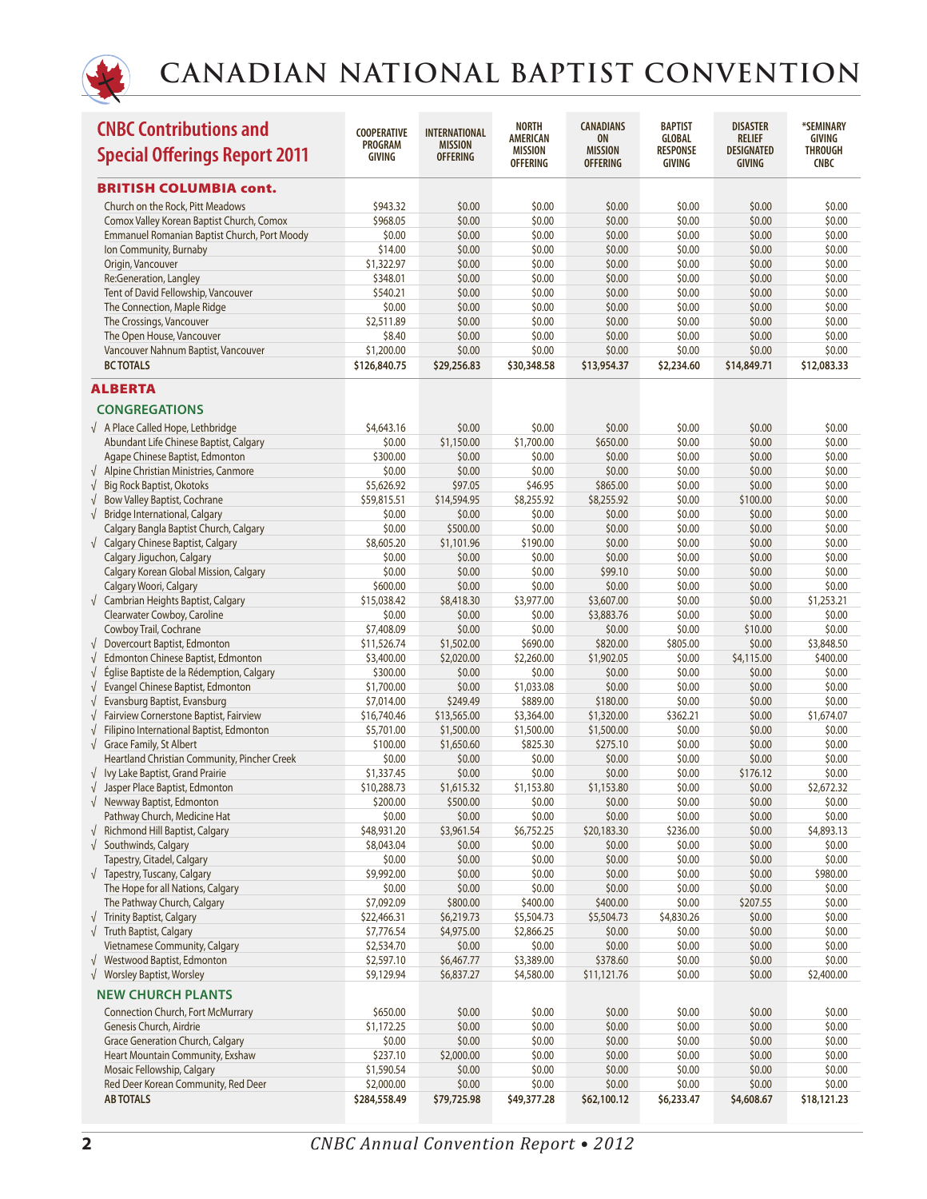

|            | <b>CNBC Contributions and</b><br><b>Special Offerings Report 2011</b> | <b>COOPERATIVE</b><br><b>PROGRAM</b><br><b>GIVING</b> | <b>INTERNATIONAL</b><br><b>MISSION</b><br><b>OFFERING</b> | <b>NORTH</b><br><b>AMERICAN</b><br><b>MISSION</b> | <b>CANADIANS</b><br><b>ON</b><br><b>MISSION</b> | <b>BAPTIST</b><br><b>GLOBAL</b><br><b>RESPONSE</b> | <b>DISASTER</b><br><b>RELIEF</b><br>DESIGNATED | *SEMINARY<br><b>GIVING</b><br><b>THROUGH</b> |
|------------|-----------------------------------------------------------------------|-------------------------------------------------------|-----------------------------------------------------------|---------------------------------------------------|-------------------------------------------------|----------------------------------------------------|------------------------------------------------|----------------------------------------------|
|            |                                                                       |                                                       |                                                           | <b>OFFERING</b>                                   | <b>OFFERING</b>                                 | <b>GIVING</b>                                      | GIVING                                         | <b>CNBC</b>                                  |
|            | <b>BRITISH COLUMBIA cont.</b>                                         |                                                       |                                                           |                                                   |                                                 |                                                    |                                                |                                              |
|            | Church on the Rock, Pitt Meadows                                      | \$943.32                                              | \$0.00                                                    | \$0.00                                            | \$0.00                                          | \$0.00                                             | \$0.00                                         | \$0.00                                       |
|            | Comox Valley Korean Baptist Church, Comox                             | \$968.05                                              | \$0.00                                                    | \$0.00                                            | \$0.00                                          | \$0.00                                             | \$0.00                                         | \$0.00                                       |
|            | Emmanuel Romanian Baptist Church, Port Moody                          | \$0.00                                                | \$0.00                                                    | \$0.00                                            | \$0.00                                          | \$0.00                                             | \$0.00                                         | \$0.00                                       |
|            | Ion Community, Burnaby                                                | \$14.00                                               | \$0.00                                                    | \$0.00                                            | \$0.00                                          | \$0.00                                             | \$0.00                                         | \$0.00                                       |
|            | Origin, Vancouver                                                     | \$1,322.97                                            | \$0.00                                                    | \$0.00                                            | \$0.00                                          | \$0.00                                             | \$0.00                                         | \$0.00                                       |
|            | Re:Generation, Langley                                                | \$348.01                                              | \$0.00                                                    | \$0.00                                            | \$0.00                                          | \$0.00                                             | \$0.00                                         | \$0.00                                       |
|            | Tent of David Fellowship, Vancouver                                   | \$540.21                                              | \$0.00                                                    | \$0.00                                            | \$0.00                                          | \$0.00                                             | \$0.00                                         | \$0.00                                       |
|            | The Connection, Maple Ridge                                           | \$0.00                                                | \$0.00                                                    | \$0.00                                            | \$0.00                                          | \$0.00                                             | \$0.00                                         | \$0.00                                       |
|            | The Crossings, Vancouver                                              | \$2,511.89                                            | \$0.00                                                    | \$0.00                                            | \$0.00                                          | \$0.00                                             | \$0.00                                         | \$0.00                                       |
|            | The Open House, Vancouver                                             | \$8.40                                                | \$0.00                                                    | \$0.00                                            | \$0.00                                          | \$0.00                                             | \$0.00                                         | \$0.00                                       |
|            | Vancouver Nahnum Baptist, Vancouver                                   | \$1,200.00                                            | \$0.00                                                    | \$0.00                                            | \$0.00                                          | \$0.00                                             | \$0.00                                         | \$0.00                                       |
|            | <b>BC TOTALS</b>                                                      | \$126,840.75                                          | \$29,256.83                                               | \$30,348.58                                       | \$13,954.37                                     | \$2,234.60                                         | \$14,849.71                                    | \$12,083.33                                  |
|            | <b>ALBERTA</b>                                                        |                                                       |                                                           |                                                   |                                                 |                                                    |                                                |                                              |
|            | <b>CONGREGATIONS</b>                                                  |                                                       |                                                           |                                                   |                                                 |                                                    |                                                |                                              |
|            | √ A Place Called Hope, Lethbridge                                     | \$4,643.16                                            | \$0.00                                                    | \$0.00                                            | \$0.00                                          | \$0.00                                             | \$0.00                                         | \$0.00                                       |
|            | Abundant Life Chinese Baptist, Calgary                                | \$0.00                                                | \$1,150.00                                                | \$1,700.00                                        | \$650.00                                        | \$0.00                                             | \$0.00                                         | \$0.00                                       |
|            | Agape Chinese Baptist, Edmonton                                       | \$300.00                                              | \$0.00                                                    | \$0.00                                            | \$0.00                                          | \$0.00                                             | \$0.00                                         | \$0.00                                       |
|            | $\sqrt{\phantom{a}}$ Alpine Christian Ministries, Canmore             | \$0.00                                                | \$0.00                                                    | \$0.00                                            | \$0.00                                          | \$0.00                                             | \$0.00                                         | \$0.00                                       |
| $\sqrt{}$  | <b>Big Rock Baptist, Okotoks</b>                                      | \$5,626.92                                            | \$97.05                                                   | \$46.95                                           | \$865.00                                        | \$0.00                                             | \$0.00                                         | \$0.00                                       |
| $\sqrt{}$  | <b>Bow Valley Baptist, Cochrane</b>                                   | \$59,815.51                                           | \$14,594.95                                               | \$8,255.92                                        | \$8,255.92                                      | \$0.00                                             | \$100.00                                       | \$0.00                                       |
| $\sqrt{}$  | <b>Bridge International, Calgary</b>                                  | \$0.00                                                | \$0.00                                                    | \$0.00                                            | \$0.00                                          | \$0.00                                             | \$0.00                                         | \$0.00                                       |
|            | Calgary Bangla Baptist Church, Calgary                                | \$0.00                                                | \$500.00                                                  | \$0.00                                            | \$0.00                                          | \$0.00                                             | \$0.00                                         | \$0.00                                       |
|            | √ Calgary Chinese Baptist, Calgary                                    | \$8,605.20                                            | \$1,101.96                                                | \$190.00                                          | \$0.00                                          | \$0.00                                             | \$0.00                                         | \$0.00                                       |
|            | Calgary Jiguchon, Calgary                                             | \$0.00                                                | \$0.00                                                    | \$0.00                                            | \$0.00                                          | \$0.00                                             | \$0.00                                         | \$0.00                                       |
|            | Calgary Korean Global Mission, Calgary                                | \$0.00                                                | \$0.00                                                    | \$0.00                                            | \$99.10                                         | \$0.00                                             | \$0.00                                         | \$0.00                                       |
|            | Calgary Woori, Calgary                                                | \$600.00                                              | \$0.00                                                    | \$0.00                                            | \$0.00                                          | \$0.00                                             | \$0.00                                         | \$0.00                                       |
|            | √ Cambrian Heights Baptist, Calgary                                   | \$15,038.42                                           | \$8,418.30                                                | \$3,977.00                                        | \$3,607.00                                      | \$0.00                                             | \$0.00                                         | \$1,253.21                                   |
|            | Clearwater Cowboy, Caroline                                           | \$0.00                                                | \$0.00                                                    | \$0.00                                            | \$3,883.76                                      | \$0.00                                             | \$0.00                                         | \$0.00                                       |
|            | Cowboy Trail, Cochrane                                                | \$7,408.09                                            | \$0.00                                                    | \$0.00                                            | \$0.00                                          | \$0.00                                             | \$10.00                                        | \$0.00                                       |
| $\sqrt{ }$ | Dovercourt Baptist, Edmonton                                          | \$11,526.74                                           | \$1,502.00                                                | \$690.00                                          | \$820.00                                        | \$805.00                                           | \$0.00                                         | \$3,848.50                                   |
| $\sqrt{}$  | Edmonton Chinese Baptist, Edmonton                                    | \$3,400.00                                            | \$2,020.00                                                | \$2,260.00                                        | \$1,902.05                                      | \$0.00                                             | \$4,115.00                                     | \$400.00                                     |
| $\sqrt{}$  | Église Baptiste de la Rédemption, Calgary                             | \$300.00                                              | \$0.00                                                    | \$0.00                                            | \$0.00                                          | \$0.00                                             | \$0.00                                         | \$0.00                                       |
| $\sqrt{}$  | Evangel Chinese Baptist, Edmonton                                     | \$1,700.00                                            | \$0.00                                                    | \$1,033.08                                        | \$0.00                                          | \$0.00                                             | \$0.00                                         | \$0.00                                       |
|            | $\sqrt{\phantom{a}}$ Evansburg Baptist, Evansburg                     | \$7,014.00                                            | \$249.49                                                  | \$889.00                                          | \$180.00                                        | \$0.00                                             | \$0.00                                         | \$0.00                                       |
| $\sqrt{ }$ | Fairview Cornerstone Baptist, Fairview                                | \$16,740.46                                           | \$13,565.00                                               | \$3,364.00                                        | \$1,320.00                                      | \$362.21                                           | \$0.00                                         | \$1,674.07                                   |
| $\sqrt{}$  | Filipino International Baptist, Edmonton                              | \$5,701.00                                            | \$1,500.00                                                | \$1,500.00                                        | \$1,500.00                                      | \$0.00                                             | \$0.00                                         | \$0.00                                       |
|            | $\sqrt{\phantom{a}}$ Grace Family, St Albert                          | \$100.00                                              | \$1,650.60                                                | \$825.30                                          | \$275.10                                        | \$0.00                                             | \$0.00                                         | \$0.00                                       |
|            | Heartland Christian Community, Pincher Creek                          | \$0.00                                                | \$0.00                                                    | \$0.00                                            | \$0.00                                          | \$0.00                                             | \$0.00                                         | \$0.00                                       |
|            | √ Ivy Lake Baptist, Grand Prairie                                     | \$1,337.45                                            | \$0.00                                                    | \$0.00                                            | \$0.00                                          | \$0.00                                             | \$176.12                                       | \$0.00                                       |
|            | $\sqrt{\phantom{a}}$ Jasper Place Baptist, Edmonton                   | \$10,288.73                                           | \$1,615.32                                                | \$1,153.80                                        | \$1,153.80                                      | \$0.00                                             | \$0.00                                         | \$2,672.32                                   |
|            | √ Newway Baptist, Edmonton                                            | \$200.00                                              | \$500.00                                                  | \$0.00                                            | \$0.00                                          | \$0.00                                             | \$0.00                                         | \$0.00                                       |
|            | Pathway Church, Medicine Hat                                          | \$0.00                                                | \$0.00                                                    | \$0.00                                            | \$0.00                                          | \$0.00                                             | \$0.00                                         | \$0.00                                       |
| $\sqrt{ }$ | Richmond Hill Baptist, Calgary                                        | \$48,931.20                                           | \$3,961.54                                                | \$6,752.25                                        | \$20,183.30                                     | \$236.00                                           | \$0.00                                         | \$4,893.13                                   |
|            | $\sqrt{\phantom{a}}$ Southwinds, Calgary                              | \$8,043.04                                            | \$0.00                                                    | \$0.00                                            | \$0.00                                          | \$0.00                                             | \$0.00                                         | \$0.00                                       |
|            | Tapestry, Citadel, Calgary                                            | \$0.00                                                | \$0.00                                                    | \$0.00                                            | \$0.00                                          | \$0.00                                             | \$0.00                                         | \$0.00                                       |
|            | $\sqrt{\phantom{a}}$ Tapestry, Tuscany, Calgary                       | \$9,992.00                                            | \$0.00                                                    | \$0.00                                            | \$0.00                                          | \$0.00                                             | \$0.00                                         | \$980.00                                     |
|            | The Hope for all Nations, Calgary                                     | \$0.00                                                | \$0.00                                                    | \$0.00                                            | \$0.00                                          | \$0.00                                             | \$0.00                                         | \$0.00                                       |
|            | The Pathway Church, Calgary                                           | \$7,092.09                                            | \$800.00                                                  | \$400.00                                          | \$400.00                                        | \$0.00                                             | \$207.55                                       | \$0.00                                       |
|            | $\sqrt{\phantom{a}}$ Trinity Baptist, Calgary                         | \$22,466.31                                           | \$6,219.73                                                | \$5,504.73                                        | \$5,504.73                                      | \$4,830.26                                         | \$0.00                                         | \$0.00                                       |
|            | $\sqrt{ }$ Truth Baptist, Calgary                                     | \$7,776.54                                            | \$4,975.00                                                | \$2,866.25                                        | \$0.00                                          | \$0.00                                             | \$0.00                                         | \$0.00                                       |
|            | Vietnamese Community, Calgary                                         | \$2,534.70                                            | \$0.00                                                    | \$0.00                                            | \$0.00                                          | \$0.00                                             | \$0.00                                         | \$0.00                                       |
|            | √ Westwood Baptist, Edmonton                                          | \$2,597.10                                            | \$6,467.77                                                | \$3,389.00                                        | \$378.60                                        | \$0.00                                             | \$0.00                                         | \$0.00                                       |
|            | √ Worsley Baptist, Worsley                                            | \$9,129.94                                            | \$6,837.27                                                | \$4,580.00                                        | \$11,121.76                                     | \$0.00                                             | \$0.00                                         | \$2,400.00                                   |
|            | <b>NEW CHURCH PLANTS</b>                                              |                                                       |                                                           |                                                   |                                                 |                                                    |                                                |                                              |
|            | <b>Connection Church, Fort McMurrary</b>                              | \$650.00                                              | \$0.00                                                    | \$0.00                                            | \$0.00                                          | \$0.00                                             | \$0.00                                         | \$0.00                                       |
|            | Genesis Church, Airdrie                                               | \$1,172.25                                            | \$0.00                                                    | \$0.00                                            | \$0.00                                          | \$0.00                                             | \$0.00                                         | \$0.00                                       |
|            | <b>Grace Generation Church, Calgary</b>                               | \$0.00                                                | \$0.00                                                    | \$0.00                                            | \$0.00                                          | \$0.00                                             | \$0.00                                         | \$0.00                                       |
|            | Heart Mountain Community, Exshaw                                      | \$237.10                                              | \$2,000.00                                                | \$0.00                                            | \$0.00                                          | \$0.00                                             | \$0.00                                         | \$0.00                                       |
|            | Mosaic Fellowship, Calgary                                            | \$1,590.54                                            | \$0.00                                                    | \$0.00                                            | \$0.00                                          | \$0.00                                             | \$0.00                                         | \$0.00                                       |
|            | Red Deer Korean Community, Red Deer                                   | \$2,000.00                                            | \$0.00                                                    | \$0.00                                            | \$0.00                                          | \$0.00                                             | \$0.00                                         | \$0.00                                       |
|            | <b>AB TOTALS</b>                                                      | \$284,558.49                                          | \$79,725.98                                               | \$49,377.28                                       | \$62,100.12                                     | \$6,233.47                                         | \$4,608.67                                     | \$18,121.23                                  |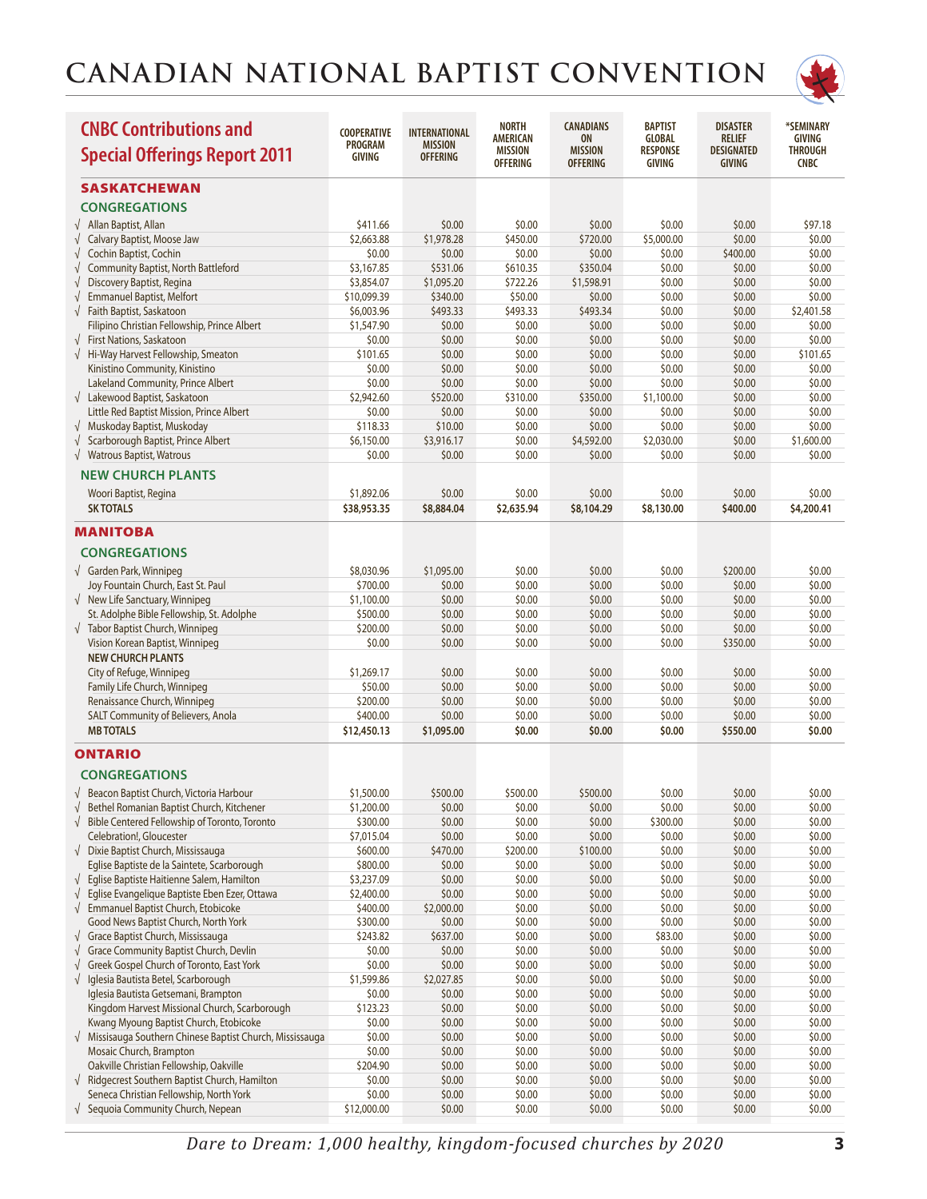

| <b>CNBC Contributions and</b><br><b>Special Offerings Report 2011</b>                    | <b>COOPERATIVE</b><br><b>PROGRAM</b><br><b>GIVING</b> | <b>INTERNATIONAL</b><br><b>MISSION</b><br><b>OFFERING</b> | <b>NORTH</b><br><b>AMERICAN</b><br><b>MISSION</b><br><b>OFFERING</b> | <b>CANADIANS</b><br><b>ON</b><br><b>MISSION</b><br><b>OFFERING</b> | <b>BAPTIST</b><br><b>GLOBAL</b><br><b>RESPONSE</b><br><b>GIVING</b> | <b>DISASTER</b><br><b>RELIEF</b><br><b>DESIGNATED</b><br><b>GIVING</b> | *SEMINARY<br>GIVING<br><b>THROUGH</b><br><b>CNBC</b> |
|------------------------------------------------------------------------------------------|-------------------------------------------------------|-----------------------------------------------------------|----------------------------------------------------------------------|--------------------------------------------------------------------|---------------------------------------------------------------------|------------------------------------------------------------------------|------------------------------------------------------|
| SASKATCHEWAN                                                                             |                                                       |                                                           |                                                                      |                                                                    |                                                                     |                                                                        |                                                      |
| <b>CONGREGATIONS</b>                                                                     |                                                       |                                                           |                                                                      |                                                                    |                                                                     |                                                                        |                                                      |
| Allan Baptist, Allan<br>$\sqrt{ }$                                                       | \$411.66                                              | \$0.00                                                    | \$0.00                                                               | \$0.00                                                             | \$0.00                                                              | \$0.00                                                                 | \$97.18                                              |
| √ Calvary Baptist, Moose Jaw                                                             | \$2,663.88                                            | \$1,978.28                                                | \$450.00                                                             | \$720.00                                                           | \$5,000.00                                                          | \$0.00                                                                 | \$0.00                                               |
| Cochin Baptist, Cochin<br>$\sqrt{}$                                                      | \$0.00                                                | \$0.00                                                    | \$0.00                                                               | \$0.00                                                             | \$0.00                                                              | \$400.00                                                               | \$0.00                                               |
| <b>Community Baptist, North Battleford</b><br>$\sqrt{}$                                  | \$3,167.85                                            | \$531.06                                                  | \$610.35                                                             | \$350.04                                                           | \$0.00                                                              | \$0.00                                                                 | \$0.00                                               |
| Discovery Baptist, Regina<br>$\sqrt{}$                                                   | \$3,854.07                                            | \$1,095.20                                                | \$722.26                                                             | \$1,598.91                                                         | \$0.00                                                              | \$0.00                                                                 | \$0.00                                               |
| <b>Emmanuel Baptist, Melfort</b><br>$\sqrt{}$<br>Faith Baptist, Saskatoon<br>$\sqrt{ }$  | \$10,099.39<br>\$6,003.96                             | \$340.00<br>\$493.33                                      | \$50.00<br>\$493.33                                                  | \$0.00<br>\$493.34                                                 | \$0.00<br>\$0.00                                                    | \$0.00<br>\$0.00                                                       | \$0.00<br>\$2,401.58                                 |
| Filipino Christian Fellowship, Prince Albert                                             | \$1,547.90                                            | \$0.00                                                    | \$0.00                                                               | \$0.00                                                             | \$0.00                                                              | \$0.00                                                                 | \$0.00                                               |
| √ First Nations, Saskatoon                                                               | \$0.00                                                | \$0.00                                                    | \$0.00                                                               | \$0.00                                                             | \$0.00                                                              | \$0.00                                                                 | \$0.00                                               |
| √ Hi-Way Harvest Fellowship, Smeaton                                                     | \$101.65                                              | \$0.00                                                    | \$0.00                                                               | \$0.00                                                             | \$0.00                                                              | \$0.00                                                                 | \$101.65                                             |
| Kinistino Community, Kinistino                                                           | \$0.00                                                | \$0.00                                                    | \$0.00                                                               | \$0.00                                                             | \$0.00                                                              | \$0.00                                                                 | \$0.00                                               |
| Lakeland Community, Prince Albert                                                        | \$0.00                                                | \$0.00                                                    | \$0.00                                                               | \$0.00                                                             | \$0.00                                                              | \$0.00                                                                 | \$0.00                                               |
| $\sqrt{\phantom{a}}$ Lakewood Baptist, Saskatoon                                         | \$2,942.60                                            | \$520.00                                                  | \$310.00                                                             | \$350.00                                                           | \$1,100.00                                                          | \$0.00                                                                 | \$0.00                                               |
| Little Red Baptist Mission, Prince Albert<br>√ Muskoday Baptist, Muskoday                | \$0.00<br>\$118.33                                    | \$0.00<br>\$10.00                                         | \$0.00<br>\$0.00                                                     | \$0.00<br>\$0.00                                                   | \$0.00<br>\$0.00                                                    | \$0.00<br>\$0.00                                                       | \$0.00<br>\$0.00                                     |
| Scarborough Baptist, Prince Albert<br>$\sqrt{}$                                          | \$6,150.00                                            | \$3,916.17                                                | \$0.00                                                               | \$4,592.00                                                         | \$2,030.00                                                          | \$0.00                                                                 | \$1,600.00                                           |
| √ Watrous Baptist, Watrous                                                               | \$0.00                                                | \$0.00                                                    | \$0.00                                                               | \$0.00                                                             | \$0.00                                                              | \$0.00                                                                 | \$0.00                                               |
| <b>NEW CHURCH PLANTS</b>                                                                 |                                                       |                                                           |                                                                      |                                                                    |                                                                     |                                                                        |                                                      |
|                                                                                          |                                                       |                                                           |                                                                      |                                                                    |                                                                     |                                                                        |                                                      |
| Woori Baptist, Regina<br><b>SK TOTALS</b>                                                | \$1,892.06<br>\$38,953.35                             | \$0.00<br>\$8,884.04                                      | \$0.00<br>\$2,635.94                                                 | \$0.00<br>\$8,104.29                                               | \$0.00<br>\$8,130.00                                                | \$0.00<br>\$400.00                                                     | \$0.00<br>\$4,200.41                                 |
|                                                                                          |                                                       |                                                           |                                                                      |                                                                    |                                                                     |                                                                        |                                                      |
| <b>MANITOBA</b>                                                                          |                                                       |                                                           |                                                                      |                                                                    |                                                                     |                                                                        |                                                      |
| <b>CONGREGATIONS</b>                                                                     |                                                       |                                                           |                                                                      |                                                                    |                                                                     |                                                                        |                                                      |
| √ Garden Park, Winnipeg                                                                  | \$8,030.96                                            | \$1,095.00                                                | \$0.00                                                               | \$0.00                                                             | \$0.00                                                              | \$200.00                                                               | \$0.00                                               |
| Joy Fountain Church, East St. Paul                                                       | \$700.00                                              | \$0.00                                                    | \$0.00                                                               | \$0.00                                                             | \$0.00                                                              | \$0.00                                                                 | \$0.00                                               |
| $\sqrt{\phantom{a}}$ New Life Sanctuary, Winnipeg                                        | \$1,100.00                                            | \$0.00                                                    | \$0.00                                                               | \$0.00                                                             | \$0.00                                                              | \$0.00                                                                 | \$0.00                                               |
| St. Adolphe Bible Fellowship, St. Adolphe<br>√ Tabor Baptist Church, Winnipeg            | \$500.00<br>\$200.00                                  | \$0.00<br>\$0.00                                          | \$0.00<br>\$0.00                                                     | \$0.00<br>\$0.00                                                   | \$0.00<br>\$0.00                                                    | \$0.00<br>\$0.00                                                       | \$0.00<br>\$0.00                                     |
| Vision Korean Baptist, Winnipeg                                                          | \$0.00                                                | \$0.00                                                    | \$0.00                                                               | \$0.00                                                             | \$0.00                                                              | \$350.00                                                               | \$0.00                                               |
| <b>NEW CHURCH PLANTS</b>                                                                 |                                                       |                                                           |                                                                      |                                                                    |                                                                     |                                                                        |                                                      |
| City of Refuge, Winnipeg                                                                 | \$1,269.17                                            | \$0.00                                                    | \$0.00                                                               | \$0.00                                                             | \$0.00                                                              | \$0.00                                                                 | \$0.00                                               |
| Family Life Church, Winnipeg                                                             | \$50.00                                               | \$0.00                                                    | \$0.00                                                               | \$0.00                                                             | \$0.00                                                              | \$0.00                                                                 | \$0.00                                               |
| Renaissance Church, Winnipeg                                                             | \$200.00                                              | \$0.00                                                    | \$0.00                                                               | \$0.00                                                             | \$0.00                                                              | \$0.00                                                                 | \$0.00                                               |
| SALT Community of Believers, Anola                                                       | \$400.00                                              | \$0.00                                                    | \$0.00                                                               | \$0.00                                                             | \$0.00                                                              | \$0.00                                                                 | \$0.00                                               |
| <b>MB TOTALS</b>                                                                         | \$12,450.13                                           | \$1,095.00                                                | \$0.00                                                               | \$0.00                                                             | \$0.00                                                              | \$550.00                                                               | \$0.00                                               |
| <b>ONTARIO</b>                                                                           |                                                       |                                                           |                                                                      |                                                                    |                                                                     |                                                                        |                                                      |
| <b>CONGREGATIONS</b>                                                                     |                                                       |                                                           |                                                                      |                                                                    |                                                                     |                                                                        |                                                      |
| Beacon Baptist Church, Victoria Harbour                                                  | \$1,500.00                                            | \$500.00                                                  | \$500.00                                                             | \$500.00                                                           | \$0.00                                                              | \$0.00                                                                 | \$0.00                                               |
| Bethel Romanian Baptist Church, Kitchener<br>$\sqrt{}$                                   | \$1,200.00                                            | \$0.00                                                    | \$0.00                                                               | \$0.00                                                             | \$0.00                                                              | \$0.00                                                                 | \$0.00                                               |
| Bible Centered Fellowship of Toronto, Toronto<br>$\sqrt{ }$                              | \$300.00                                              | \$0.00                                                    | \$0.00                                                               | \$0.00                                                             | \$300.00                                                            | \$0.00                                                                 | \$0.00                                               |
| Celebration!, Gloucester                                                                 | \$7,015.04                                            | \$0.00                                                    | \$0.00                                                               | \$0.00                                                             | \$0.00                                                              | \$0.00                                                                 | \$0.00                                               |
| √ Dixie Baptist Church, Mississauga<br>Eglise Baptiste de la Saintete, Scarborough       | \$600.00<br>\$800.00                                  | \$470.00<br>\$0.00                                        | \$200.00<br>\$0.00                                                   | \$100.00<br>\$0.00                                                 | \$0.00<br>\$0.00                                                    | \$0.00<br>\$0.00                                                       | \$0.00<br>\$0.00                                     |
| Eglise Baptiste Haitienne Salem, Hamilton<br>$\sqrt{2}$                                  | \$3,237.09                                            | \$0.00                                                    | \$0.00                                                               | \$0.00                                                             | \$0.00                                                              | \$0.00                                                                 | \$0.00                                               |
| Eglise Evangelique Baptiste Eben Ezer, Ottawa<br>$\sqrt{}$                               | \$2,400.00                                            | \$0.00                                                    | \$0.00                                                               | \$0.00                                                             | \$0.00                                                              | \$0.00                                                                 | \$0.00                                               |
| <b>Emmanuel Baptist Church, Etobicoke</b><br>$\sqrt{ }$                                  | \$400.00                                              | \$2,000.00                                                | \$0.00                                                               | \$0.00                                                             | \$0.00                                                              | \$0.00                                                                 | \$0.00                                               |
| Good News Baptist Church, North York                                                     | \$300.00                                              | \$0.00                                                    | \$0.00                                                               | \$0.00                                                             | \$0.00                                                              | \$0.00                                                                 | \$0.00                                               |
| √ Grace Baptist Church, Mississauga                                                      | \$243.82                                              | \$637.00                                                  | \$0.00                                                               | \$0.00                                                             | \$83.00                                                             | \$0.00                                                                 | \$0.00                                               |
| Grace Community Baptist Church, Devlin<br>$\sqrt{}$                                      | \$0.00                                                | \$0.00                                                    | \$0.00                                                               | \$0.00                                                             | \$0.00                                                              | \$0.00                                                                 | \$0.00                                               |
| Greek Gospel Church of Toronto, East York<br>$\sqrt{}$                                   | \$0.00                                                | \$0.00                                                    | \$0.00                                                               | \$0.00                                                             | \$0.00                                                              | \$0.00                                                                 | \$0.00                                               |
| Iglesia Bautista Betel, Scarborough<br>$\sqrt{}$<br>Iglesia Bautista Getsemani, Brampton | \$1,599.86<br>\$0.00                                  | \$2,027.85<br>\$0.00                                      | \$0.00<br>\$0.00                                                     | \$0.00<br>\$0.00                                                   | \$0.00<br>\$0.00                                                    | \$0.00<br>\$0.00                                                       | \$0.00<br>\$0.00                                     |
| Kingdom Harvest Missional Church, Scarborough                                            | \$123.23                                              | \$0.00                                                    | \$0.00                                                               | \$0.00                                                             | \$0.00                                                              | \$0.00                                                                 | \$0.00                                               |
| Kwang Myoung Baptist Church, Etobicoke                                                   | \$0.00                                                | \$0.00                                                    | \$0.00                                                               | \$0.00                                                             | \$0.00                                                              | \$0.00                                                                 | \$0.00                                               |
| $\sqrt{\phantom{a}}$ Missisauga Southern Chinese Baptist Church, Mississauga             | \$0.00                                                | \$0.00                                                    | \$0.00                                                               | \$0.00                                                             | \$0.00                                                              | \$0.00                                                                 | \$0.00                                               |
| Mosaic Church, Brampton                                                                  | \$0.00                                                | \$0.00                                                    | \$0.00                                                               | \$0.00                                                             | \$0.00                                                              | \$0.00                                                                 | \$0.00                                               |
| Oakville Christian Fellowship, Oakville                                                  | \$204.90                                              | \$0.00                                                    | \$0.00                                                               | \$0.00                                                             | \$0.00                                                              | \$0.00                                                                 | \$0.00                                               |
| √ Ridgecrest Southern Baptist Church, Hamilton                                           | \$0.00                                                | \$0.00                                                    | \$0.00                                                               | \$0.00                                                             | \$0.00                                                              | \$0.00                                                                 | \$0.00                                               |
| Seneca Christian Fellowship, North York                                                  | \$0.00                                                | \$0.00                                                    | \$0.00                                                               | \$0.00                                                             | \$0.00                                                              | \$0.00                                                                 | \$0.00                                               |
| $\sqrt{\phantom{a}}$ Sequoia Community Church, Nepean                                    | \$12,000.00                                           | \$0.00                                                    | \$0.00                                                               | \$0.00                                                             | \$0.00                                                              | \$0.00                                                                 | \$0.00                                               |

*Dare to Dream: 1,000 healthy, kingdom-focused churches by 2020* **3**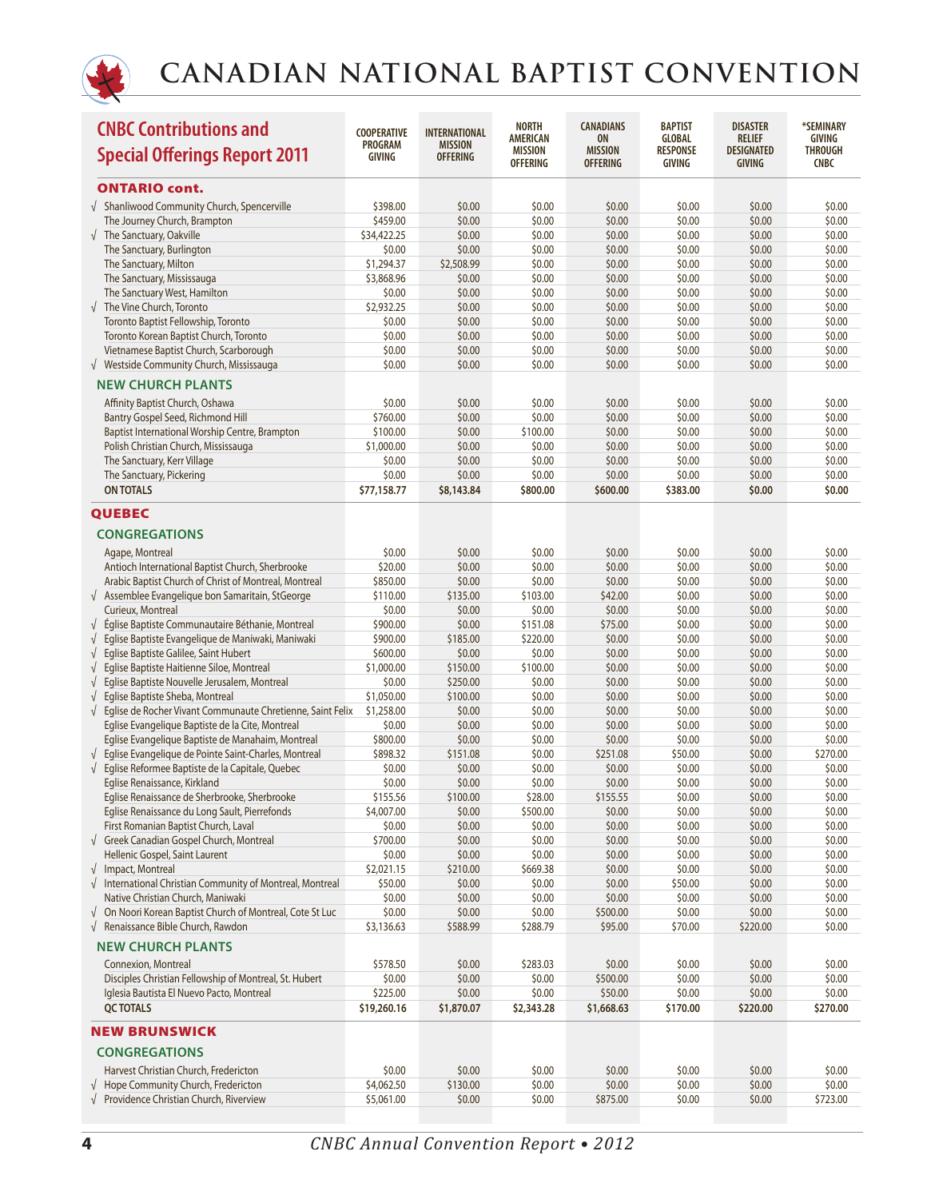

| <b>CNBC Contributions and</b><br><b>Special Offerings Report 2011</b>                                                       | <b>COOPERATIVE</b><br><b>PROGRAM</b><br><b>GIVING</b> | <b>INTERNATIONAL</b><br><b>MISSION</b><br><b>OFFERING</b> | <b>NORTH</b><br><b>AMERICAN</b><br><b>MISSION</b><br><b>OFFERING</b> | <b>CANADIANS</b><br><b>ON</b><br><b>MISSION</b><br><b>OFFERING</b> | <b>BAPTIST</b><br><b>GLOBAL</b><br><b>RESPONSE</b><br>GIVING | <b>DISASTER</b><br><b>RELIEF</b><br><b>DESIGNATED</b><br><b>GIVING</b> | *SEMINARY<br>GIVING<br><b>THROUGH</b><br><b>CNBC</b> |
|-----------------------------------------------------------------------------------------------------------------------------|-------------------------------------------------------|-----------------------------------------------------------|----------------------------------------------------------------------|--------------------------------------------------------------------|--------------------------------------------------------------|------------------------------------------------------------------------|------------------------------------------------------|
| <b>ONTARIO cont.</b>                                                                                                        |                                                       |                                                           |                                                                      |                                                                    |                                                              |                                                                        |                                                      |
| √ Shanliwood Community Church, Spencerville                                                                                 | \$398.00                                              | \$0.00                                                    | \$0.00                                                               | \$0.00                                                             | \$0.00                                                       | \$0.00                                                                 | \$0.00                                               |
| The Journey Church, Brampton                                                                                                | \$459.00                                              | \$0.00                                                    | \$0.00                                                               | \$0.00                                                             | \$0.00                                                       | \$0.00                                                                 | \$0.00                                               |
| $\sqrt{\phantom{a}}$ The Sanctuary, Oakville                                                                                | \$34,422.25                                           | \$0.00                                                    | \$0.00                                                               | \$0.00                                                             | \$0.00                                                       | \$0.00                                                                 | \$0.00                                               |
| The Sanctuary, Burlington                                                                                                   | \$0.00                                                | \$0.00                                                    | \$0.00                                                               | \$0.00                                                             | \$0.00                                                       | \$0.00                                                                 | \$0.00                                               |
| The Sanctuary, Milton                                                                                                       | \$1,294.37                                            | \$2,508.99                                                | \$0.00                                                               | \$0.00                                                             | \$0.00                                                       | \$0.00                                                                 | \$0.00                                               |
| The Sanctuary, Mississauga                                                                                                  | \$3,868.96                                            | \$0.00                                                    | \$0.00                                                               | \$0.00                                                             | \$0.00                                                       | \$0.00                                                                 | \$0.00                                               |
| The Sanctuary West, Hamilton                                                                                                | \$0.00                                                | \$0.00                                                    | \$0.00                                                               | \$0.00                                                             | \$0.00                                                       | \$0.00                                                                 | \$0.00                                               |
| $\sqrt{\phantom{a}}$ The Vine Church, Toronto                                                                               | \$2,932.25                                            | \$0.00                                                    | \$0.00                                                               | \$0.00                                                             | \$0.00                                                       | \$0.00                                                                 | \$0.00                                               |
| Toronto Baptist Fellowship, Toronto<br>Toronto Korean Baptist Church, Toronto                                               | \$0.00<br>\$0.00                                      | \$0.00<br>\$0.00                                          | \$0.00<br>\$0.00                                                     | \$0.00<br>\$0.00                                                   | \$0.00<br>\$0.00                                             | \$0.00<br>\$0.00                                                       | \$0.00<br>\$0.00                                     |
| Vietnamese Baptist Church, Scarborough                                                                                      | \$0.00                                                | \$0.00                                                    | \$0.00                                                               | \$0.00                                                             | \$0.00                                                       | \$0.00                                                                 | \$0.00                                               |
| √ Westside Community Church, Mississauga                                                                                    | \$0.00                                                | \$0.00                                                    | \$0.00                                                               | \$0.00                                                             | \$0.00                                                       | \$0.00                                                                 | \$0.00                                               |
| <b>NEW CHURCH PLANTS</b>                                                                                                    |                                                       |                                                           |                                                                      |                                                                    |                                                              |                                                                        |                                                      |
|                                                                                                                             |                                                       |                                                           |                                                                      |                                                                    |                                                              |                                                                        |                                                      |
| Affinity Baptist Church, Oshawa                                                                                             | \$0.00                                                | \$0.00                                                    | \$0.00                                                               | \$0.00                                                             | \$0.00                                                       | \$0.00                                                                 | \$0.00                                               |
| Bantry Gospel Seed, Richmond Hill<br>Baptist International Worship Centre, Brampton                                         | \$760.00<br>\$100.00                                  | \$0.00<br>\$0.00                                          | \$0.00<br>\$100.00                                                   | \$0.00<br>\$0.00                                                   | \$0.00<br>\$0.00                                             | \$0.00<br>\$0.00                                                       | \$0.00<br>\$0.00                                     |
| Polish Christian Church, Mississauga                                                                                        | \$1,000.00                                            | \$0.00                                                    | \$0.00                                                               | \$0.00                                                             | \$0.00                                                       | \$0.00                                                                 | \$0.00                                               |
| The Sanctuary, Kerr Village                                                                                                 | \$0.00                                                | \$0.00                                                    | \$0.00                                                               | \$0.00                                                             | \$0.00                                                       | \$0.00                                                                 | \$0.00                                               |
| The Sanctuary, Pickering                                                                                                    | \$0.00                                                | \$0.00                                                    | \$0.00                                                               | \$0.00                                                             | \$0.00                                                       | \$0.00                                                                 | \$0.00                                               |
| <b>ON TOTALS</b>                                                                                                            | \$77,158.77                                           | \$8,143.84                                                | \$800.00                                                             | \$600.00                                                           | \$383.00                                                     | \$0.00                                                                 | \$0.00                                               |
| <b>QUEBEC</b>                                                                                                               |                                                       |                                                           |                                                                      |                                                                    |                                                              |                                                                        |                                                      |
| <b>CONGREGATIONS</b>                                                                                                        |                                                       |                                                           |                                                                      |                                                                    |                                                              |                                                                        |                                                      |
|                                                                                                                             |                                                       |                                                           |                                                                      |                                                                    |                                                              |                                                                        |                                                      |
| Agape, Montreal                                                                                                             | \$0.00<br>\$20.00                                     | \$0.00<br>\$0.00                                          | \$0.00<br>\$0.00                                                     | \$0.00                                                             | \$0.00<br>\$0.00                                             | \$0.00<br>\$0.00                                                       | \$0.00<br>\$0.00                                     |
| Antioch International Baptist Church, Sherbrooke<br>Arabic Baptist Church of Christ of Montreal, Montreal                   | \$850.00                                              | \$0.00                                                    | \$0.00                                                               | \$0.00<br>\$0.00                                                   | \$0.00                                                       | \$0.00                                                                 | \$0.00                                               |
| $\sqrt{ }$ Assemblee Evangelique bon Samaritain, StGeorge                                                                   | \$110.00                                              | \$135.00                                                  | \$103.00                                                             | \$42.00                                                            | \$0.00                                                       | \$0.00                                                                 | \$0.00                                               |
| Curieux, Montreal                                                                                                           | \$0.00                                                | \$0.00                                                    | \$0.00                                                               | \$0.00                                                             | \$0.00                                                       | \$0.00                                                                 | \$0.00                                               |
| Église Baptiste Communautaire Béthanie, Montreal<br>$\sqrt{ }$                                                              | \$900.00                                              | \$0.00                                                    | \$151.08                                                             | \$75.00                                                            | \$0.00                                                       | \$0.00                                                                 | \$0.00                                               |
| $\sqrt{ }$<br>Eglise Baptiste Evangelique de Maniwaki, Maniwaki                                                             | \$900.00                                              | \$185.00                                                  | \$220.00                                                             | \$0.00                                                             | \$0.00                                                       | \$0.00                                                                 | \$0.00                                               |
| Eglise Baptiste Galilee, Saint Hubert<br>$\sqrt{ }$                                                                         | \$600.00                                              | \$0.00                                                    | \$0.00                                                               | \$0.00                                                             | \$0.00                                                       | \$0.00                                                                 | \$0.00                                               |
| Eglise Baptiste Haitienne Siloe, Montreal<br>$\sqrt{ }$                                                                     | \$1,000.00                                            | \$150.00                                                  | \$100.00                                                             | \$0.00                                                             | \$0.00                                                       | \$0.00                                                                 | \$0.00                                               |
| Eglise Baptiste Nouvelle Jerusalem, Montreal<br>$\sqrt{ }$                                                                  | \$0.00                                                | \$250.00                                                  | \$0.00                                                               | \$0.00                                                             | \$0.00                                                       | \$0.00                                                                 | \$0.00                                               |
| Eglise Baptiste Sheba, Montreal<br>$\sqrt{ }$                                                                               | \$1,050.00                                            | \$100.00                                                  | \$0.00                                                               | \$0.00                                                             | \$0.00                                                       | \$0.00                                                                 | \$0.00                                               |
| $\sqrt{ }$<br>Eglise de Rocher Vivant Communaute Chretienne, Saint Felix                                                    | \$1,258.00                                            | \$0.00                                                    | \$0.00                                                               | \$0.00                                                             | \$0.00                                                       | \$0.00                                                                 | \$0.00                                               |
| Eglise Evangelique Baptiste de la Cite, Montreal                                                                            | \$0.00                                                | \$0.00                                                    | \$0.00                                                               | \$0.00                                                             | \$0.00                                                       | \$0.00                                                                 | \$0.00                                               |
| Eglise Evangelique Baptiste de Manahaim, Montreal<br>Eglise Evangelique de Pointe Saint-Charles, Montreal<br>$\sqrt{ }$     | \$800.00<br>\$898.32                                  | \$0.00<br>\$151.08                                        | \$0.00<br>\$0.00                                                     | \$0.00<br>\$251.08                                                 | \$0.00<br>\$50.00                                            | \$0.00<br>\$0.00                                                       | \$0.00<br>\$270.00                                   |
| $\sqrt{ }$<br>Eglise Reformee Baptiste de la Capitale, Quebec                                                               | \$0.00                                                | \$0.00                                                    | \$0.00                                                               | \$0.00                                                             | \$0.00                                                       | \$0.00                                                                 | \$0.00                                               |
| Eglise Renaissance, Kirkland                                                                                                | \$0.00                                                | \$0.00                                                    | \$0.00                                                               | \$0.00                                                             | \$0.00                                                       | \$0.00                                                                 | \$0.00                                               |
| Eglise Renaissance de Sherbrooke, Sherbrooke                                                                                | \$155.56                                              | \$100.00                                                  | \$28.00                                                              | \$155.55                                                           | \$0.00                                                       | \$0.00                                                                 | \$0.00                                               |
| Eglise Renaissance du Long Sault, Pierrefonds                                                                               | \$4,007.00                                            | \$0.00                                                    | \$500.00                                                             | \$0.00                                                             | \$0.00                                                       | \$0.00                                                                 | \$0.00                                               |
| First Romanian Baptist Church, Laval                                                                                        | \$0.00                                                | \$0.00                                                    | \$0.00                                                               | \$0.00                                                             | \$0.00                                                       | \$0.00                                                                 | \$0.00                                               |
| √ Greek Canadian Gospel Church, Montreal                                                                                    | \$700.00                                              | \$0.00                                                    | \$0.00                                                               | \$0.00                                                             | \$0.00                                                       | \$0.00                                                                 | \$0.00                                               |
| Hellenic Gospel, Saint Laurent                                                                                              | \$0.00                                                | \$0.00                                                    | \$0.00                                                               | \$0.00                                                             | \$0.00                                                       | \$0.00                                                                 | \$0.00                                               |
| $\sqrt{ }$ Impact, Montreal                                                                                                 | \$2,021.15                                            | \$210.00                                                  | \$669.38                                                             | \$0.00                                                             | \$0.00                                                       | \$0.00                                                                 | \$0.00                                               |
| $\sqrt{\phantom{a}}$ International Christian Community of Montreal, Montreal                                                | \$50.00                                               | \$0.00                                                    | \$0.00                                                               | \$0.00                                                             | \$50.00                                                      | \$0.00                                                                 | \$0.00                                               |
| Native Christian Church, Maniwaki                                                                                           | \$0.00                                                | \$0.00                                                    | \$0.00                                                               | \$0.00                                                             | \$0.00                                                       | \$0.00                                                                 | \$0.00                                               |
| $\sqrt{ }$ On Noori Korean Baptist Church of Montreal, Cote St Luc<br>$\sqrt{\phantom{a}}$ Renaissance Bible Church, Rawdon | \$0.00<br>\$3,136.63                                  | \$0.00<br>\$588.99                                        | \$0.00<br>\$288.79                                                   | \$500.00<br>\$95.00                                                | \$0.00<br>\$70.00                                            | \$0.00<br>\$220.00                                                     | \$0.00<br>\$0.00                                     |
|                                                                                                                             |                                                       |                                                           |                                                                      |                                                                    |                                                              |                                                                        |                                                      |
| <b>NEW CHURCH PLANTS</b>                                                                                                    |                                                       |                                                           |                                                                      |                                                                    |                                                              |                                                                        |                                                      |
| Connexion, Montreal<br>Disciples Christian Fellowship of Montreal, St. Hubert                                               | \$578.50<br>\$0.00                                    | \$0.00<br>\$0.00                                          | \$283.03<br>\$0.00                                                   | \$0.00<br>\$500.00                                                 | \$0.00<br>\$0.00                                             | \$0.00<br>\$0.00                                                       | \$0.00<br>\$0.00                                     |
| Iglesia Bautista El Nuevo Pacto, Montreal                                                                                   | \$225.00                                              | \$0.00                                                    | \$0.00                                                               | \$50.00                                                            | \$0.00                                                       | \$0.00                                                                 | \$0.00                                               |
| <b>QC TOTALS</b>                                                                                                            | \$19,260.16                                           | \$1,870.07                                                | \$2,343.28                                                           | \$1,668.63                                                         | \$170.00                                                     | \$220.00                                                               | \$270.00                                             |
| <b>NEW BRUNSWICK</b>                                                                                                        |                                                       |                                                           |                                                                      |                                                                    |                                                              |                                                                        |                                                      |
| <b>CONGREGATIONS</b>                                                                                                        |                                                       |                                                           |                                                                      |                                                                    |                                                              |                                                                        |                                                      |
| Harvest Christian Church, Fredericton                                                                                       | \$0.00                                                | \$0.00                                                    | \$0.00                                                               | \$0.00                                                             | \$0.00                                                       | \$0.00                                                                 | \$0.00                                               |
| $\sqrt{\phantom{a}}$ Hope Community Church, Fredericton                                                                     | \$4,062.50                                            | \$130.00                                                  | \$0.00                                                               | \$0.00                                                             | \$0.00                                                       | \$0.00                                                                 | \$0.00                                               |
| $\sqrt{\phantom{a}}$ Providence Christian Church, Riverview                                                                 | \$5,061.00                                            | \$0.00                                                    | \$0.00                                                               | \$875.00                                                           | \$0.00                                                       | \$0.00                                                                 | \$723.00                                             |
|                                                                                                                             |                                                       |                                                           |                                                                      |                                                                    |                                                              |                                                                        |                                                      |